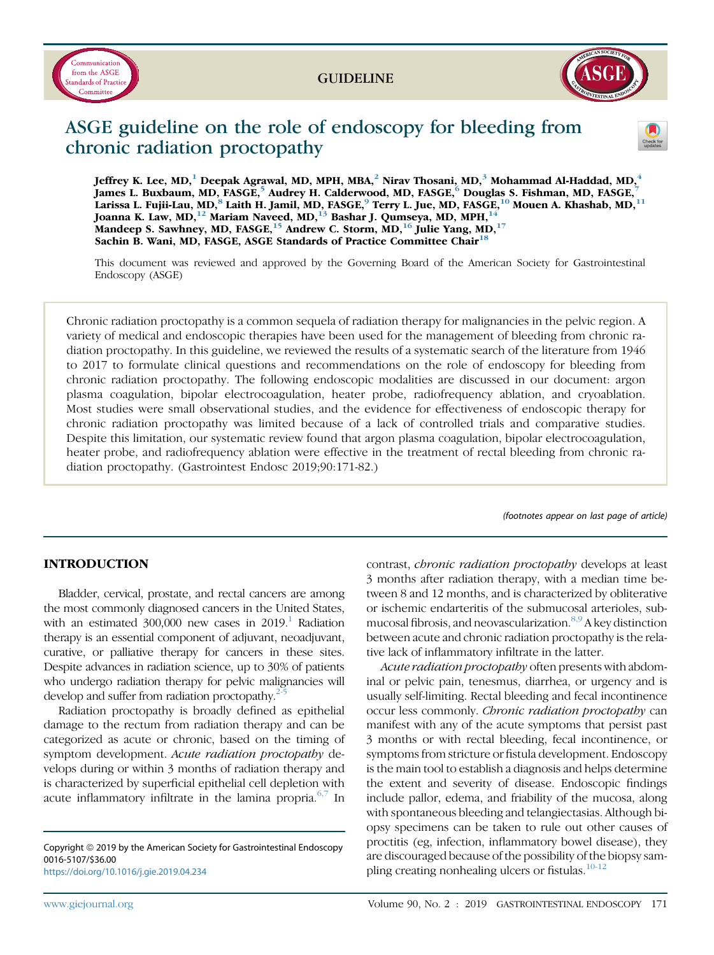



# ASGE guideline on the role of endoscopy for bleeding from chronic radiation proctopathy



Jeffrey K. Lee, MD, $^1$  Deepak Agrawal, MD, MPH, MBA, $^2$  Nirav Thosani, MD, $^3$  Mohammad Al-Haddad, MD, $^4$ James L. Buxbaum, MD, FASGE, 5 Audrey H. Calderwood, MD, FASGE,  $6$  Douglas S. Fishman, MD, FASGE,  $7$ Larissa L. Fujii-Lau, MD, $^8$  Laith H. Jamil, MD, FASGE, $^9$  Terry L. Jue, MD, FASGE, $^{10}$  Mouen A. Khashab, MD, $^{11}$ Joanna K. Law, MD, $^{12}$  Mariam Naveed, MD, $^{13}$  Bashar J. Qumseya, MD, MPH, $^{14}$ Mandeep S. Sawhney, MD, FASGE,  $^{15}$  Andrew C. Storm, MD,  $^{16}$  Julie Yang, MD,  $^{17}$ Sachin B. Wani, MD, FASGE, ASGE Standards of Practice Committee Chair<sup>18</sup>

This document was reviewed and approved by the Governing Board of the American Society for Gastrointestinal Endoscopy (ASGE)

Chronic radiation proctopathy is a common sequela of radiation therapy for malignancies in the pelvic region. A variety of medical and endoscopic therapies have been used for the management of bleeding from chronic radiation proctopathy. In this guideline, we reviewed the results of a systematic search of the literature from 1946 to 2017 to formulate clinical questions and recommendations on the role of endoscopy for bleeding from chronic radiation proctopathy. The following endoscopic modalities are discussed in our document: argon plasma coagulation, bipolar electrocoagulation, heater probe, radiofrequency ablation, and cryoablation. Most studies were small observational studies, and the evidence for effectiveness of endoscopic therapy for chronic radiation proctopathy was limited because of a lack of controlled trials and comparative studies. Despite this limitation, our systematic review found that argon plasma coagulation, bipolar electrocoagulation, heater probe, and radiofrequency ablation were effective in the treatment of rectal bleeding from chronic radiation proctopathy. (Gastrointest Endosc 2019;90:171-82.)

(footnotes appear on last page of article)

### INTRODUCTION

Bladder, cervical, prostate, and rectal cancers are among the most commonly diagnosed cancers in the United States, with an estimated  $300,000$  new cases in  $2019$ .<sup>1</sup> Radiation therapy is an essential component of adjuvant, neoadjuvant, curative, or palliative therapy for cancers in these sites. Despite advances in radiation science, up to 30% of patients who undergo radiation therapy for pelvic malignancies will develop and suffer from radiation proctopathy. $45$ 

Radiation proctopathy is broadly defined as epithelial damage to the rectum from radiation therapy and can be categorized as acute or chronic, based on the timing of symptom development. Acute radiation proctopathy develops during or within 3 months of radiation therapy and is characterized by superficial epithelial cell depletion with acute inflammatory infiltrate in the lamina propria. $6,7$  In

Copyright © 2019 by the American Society for Gastrointestinal Endoscopy 0016-5107/\$36.00 <https://doi.org/10.1016/j.gie.2019.04.234>

contrast, *chronic radiation proctopathy* develops at least 3 months after radiation therapy, with a median time between 8 and 12 months, and is characterized by obliterative or ischemic endarteritis of the submucosal arterioles, submucosal fibrosis, and neovascularization.[8,9](#page-10-0) A key distinction between acute and chronic radiation proctopathy is the relative lack of inflammatory infiltrate in the latter.

Acute radiation proctopathy often presents with abdominal or pelvic pain, tenesmus, diarrhea, or urgency and is usually self-limiting. Rectal bleeding and fecal incontinence occur less commonly. Chronic radiation proctopathy can manifest with any of the acute symptoms that persist past 3 months or with rectal bleeding, fecal incontinence, or symptoms from stricture or fistula development. Endoscopy is the main tool to establish a diagnosis and helps determine the extent and severity of disease. Endoscopic findings include pallor, edema, and friability of the mucosa, along with spontaneous bleeding and telangiectasias. Although biopsy specimens can be taken to rule out other causes of proctitis (eg, infection, inflammatory bowel disease), they are discouraged because of the possibility of the biopsy sam-pling creating nonhealing ulcers or fistulas.<sup>[10-12](#page-10-0)</sup>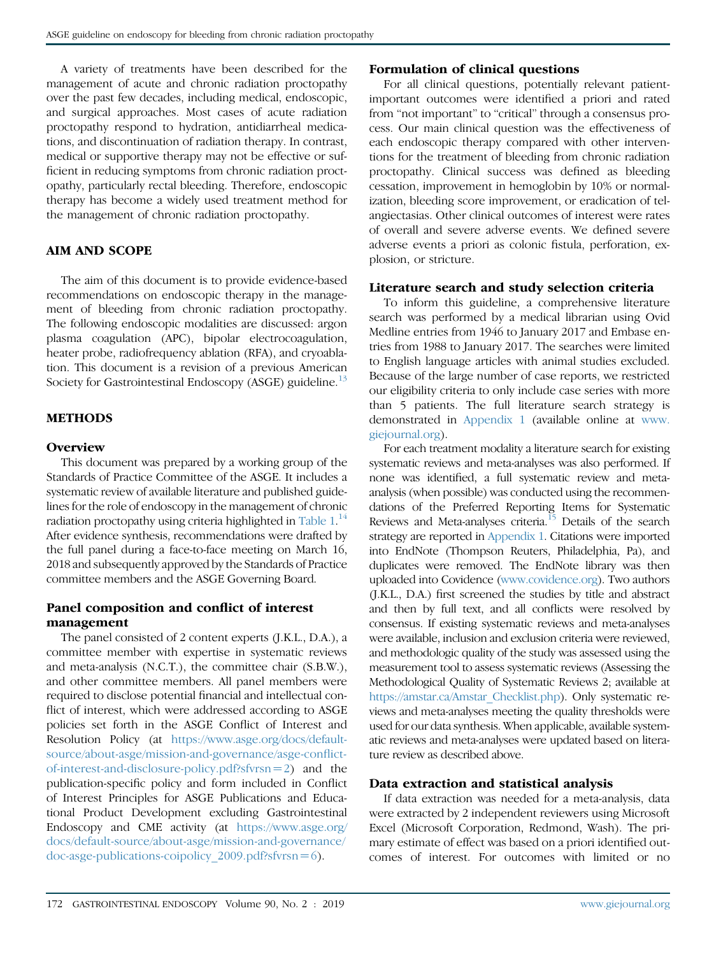A variety of treatments have been described for the management of acute and chronic radiation proctopathy over the past few decades, including medical, endoscopic, and surgical approaches. Most cases of acute radiation proctopathy respond to hydration, antidiarrheal medications, and discontinuation of radiation therapy. In contrast, medical or supportive therapy may not be effective or sufficient in reducing symptoms from chronic radiation proctopathy, particularly rectal bleeding. Therefore, endoscopic therapy has become a widely used treatment method for the management of chronic radiation proctopathy.

# AIM AND SCOPE

The aim of this document is to provide evidence-based recommendations on endoscopic therapy in the management of bleeding from chronic radiation proctopathy. The following endoscopic modalities are discussed: argon plasma coagulation (APC), bipolar electrocoagulation, heater probe, radiofrequency ablation (RFA), and cryoablation. This document is a revision of a previous American Society for Gastrointestinal Endoscopy (ASGE) guideline.<sup>15</sup>

# METHODS

### **Overview**

This document was prepared by a working group of the Standards of Practice Committee of the ASGE. It includes a systematic review of available literature and published guidelines for the role of endoscopy in the management of chronic radiation proctopathy using criteria highlighted in [Table 1.](#page-2-0)<sup>[14](#page-10-0)</sup> After evidence synthesis, recommendations were drafted by the full panel during a face-to-face meeting on March 16, 2018 and subsequently approved by the Standards of Practice committee members and the ASGE Governing Board.

### Panel composition and conflict of interest management

The panel consisted of 2 content experts (J.K.L., D.A.), a committee member with expertise in systematic reviews and meta-analysis (N.C.T.), the committee chair (S.B.W.), and other committee members. All panel members were required to disclose potential financial and intellectual conflict of interest, which were addressed according to ASGE policies set forth in the ASGE Conflict of Interest and Resolution Policy (at [https://www.asge.org/docs/default](https://www.asge.org/docs/default-source/about-asge/mission-and-governance/asge-conflict-of-interest-and-disclosure-policy.pdf?sfvrsn=2)[source/about-asge/mission-and-governance/asge-con](https://www.asge.org/docs/default-source/about-asge/mission-and-governance/asge-conflict-of-interest-and-disclosure-policy.pdf?sfvrsn=2)flict[of-interest-and-disclosure-policy.pdf?sfvrsn](https://www.asge.org/docs/default-source/about-asge/mission-and-governance/asge-conflict-of-interest-and-disclosure-policy.pdf?sfvrsn=2)=2) and the publication-specific policy and form included in Conflict of Interest Principles for ASGE Publications and Educational Product Development excluding Gastrointestinal Endoscopy and CME activity (at [https://www.asge.org/](https://www.asge.org/docs/default-source/about-asge/mission-and-governance/doc-asge-publications-coipolicy_2009.pdf?sfvrsn=6) [docs/default-source/about-asge/mission-and-governance/](https://www.asge.org/docs/default-source/about-asge/mission-and-governance/doc-asge-publications-coipolicy_2009.pdf?sfvrsn=6) doc-asge-publications-coipolicy  $2009.$ pdf?sfvrsn=6).

### Formulation of clinical questions

For all clinical questions, potentially relevant patientimportant outcomes were identified a priori and rated from "not important" to "critical" through a consensus process. Our main clinical question was the effectiveness of each endoscopic therapy compared with other interventions for the treatment of bleeding from chronic radiation proctopathy. Clinical success was defined as bleeding cessation, improvement in hemoglobin by 10% or normalization, bleeding score improvement, or eradication of telangiectasias. Other clinical outcomes of interest were rates of overall and severe adverse events. We defined severe adverse events a priori as colonic fistula, perforation, explosion, or stricture.

### Literature search and study selection criteria

To inform this guideline, a comprehensive literature search was performed by a medical librarian using Ovid Medline entries from 1946 to January 2017 and Embase entries from 1988 to January 2017. The searches were limited to English language articles with animal studies excluded. Because of the large number of case reports, we restricted our eligibility criteria to only include case series with more than 5 patients. The full literature search strategy is demonstrated in [Appendix 1](#page-12-0) (available online at [www.](http://www.giejournal.org) [giejournal.org\)](http://www.giejournal.org).

For each treatment modality a literature search for existing systematic reviews and meta-analyses was also performed. If none was identified, a full systematic review and metaanalysis (when possible) was conducted using the recommendations of the Preferred Reporting Items for Systematic Reviews and Meta-analyses criteria.<sup>[15](#page-10-0)</sup> Details of the search strategy are reported in [Appendix 1.](#page-12-0) Citations were imported into EndNote (Thompson Reuters, Philadelphia, Pa), and duplicates were removed. The EndNote library was then uploaded into Covidence [\(www.covidence.org\)](http://www.covidence.org). Two authors (J.K.L., D.A.) first screened the studies by title and abstract and then by full text, and all conflicts were resolved by consensus. If existing systematic reviews and meta-analyses were available, inclusion and exclusion criteria were reviewed, and methodologic quality of the study was assessed using the measurement tool to assess systematic reviews (Assessing the Methodological Quality of Systematic Reviews 2; available at [https://amstar.ca/Amstar\\_Checklist.php](https://amstar.ca/Amstar_Checklist.php)). Only systematic reviews and meta-analyses meeting the quality thresholds were used for our data synthesis. When applicable, available systematic reviews and meta-analyses were updated based on literature review as described above.

### Data extraction and statistical analysis

If data extraction was needed for a meta-analysis, data were extracted by 2 independent reviewers using Microsoft Excel (Microsoft Corporation, Redmond, Wash). The primary estimate of effect was based on a priori identified outcomes of interest. For outcomes with limited or no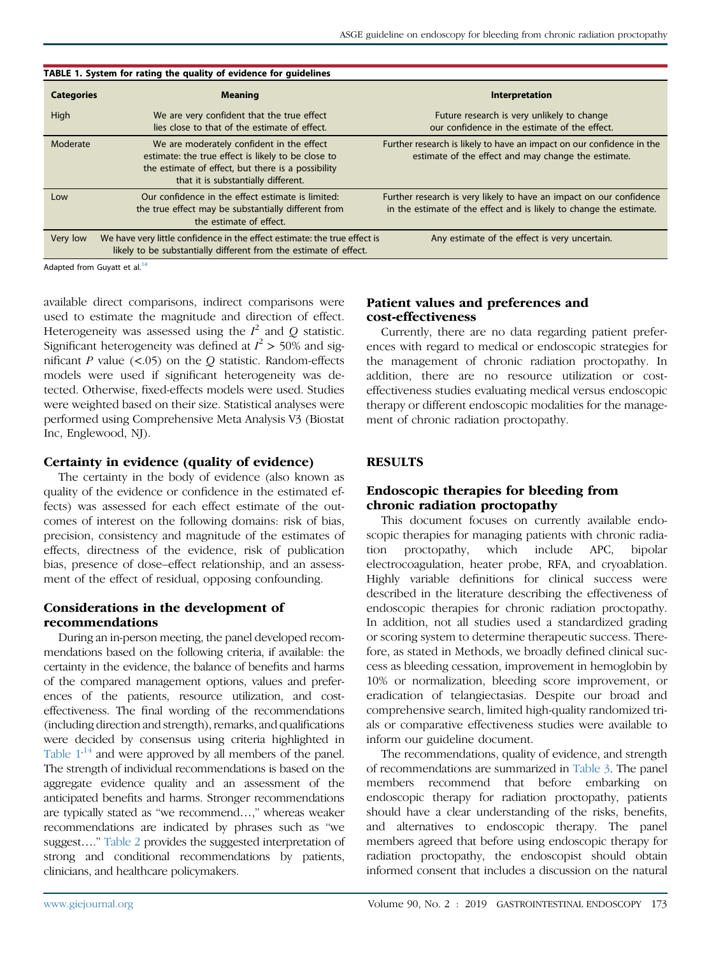<span id="page-2-0"></span>

|                   | TABLE 1. System for rating the quality of evidence for guidelines                                                                                                                            |                                                                                                                                            |
|-------------------|----------------------------------------------------------------------------------------------------------------------------------------------------------------------------------------------|--------------------------------------------------------------------------------------------------------------------------------------------|
| <b>Categories</b> | <b>Meaning</b>                                                                                                                                                                               | Interpretation                                                                                                                             |
| High              | We are very confident that the true effect<br>lies close to that of the estimate of effect.                                                                                                  | Future research is very unlikely to change<br>our confidence in the estimate of the effect.                                                |
| Moderate          | We are moderately confident in the effect<br>estimate: the true effect is likely to be close to<br>the estimate of effect, but there is a possibility<br>that it is substantially different. | Further research is likely to have an impact on our confidence in the<br>estimate of the effect and may change the estimate.               |
| Low               | Our confidence in the effect estimate is limited:<br>the true effect may be substantially different from<br>the estimate of effect.                                                          | Further research is very likely to have an impact on our confidence<br>in the estimate of the effect and is likely to change the estimate. |
| Very low          | We have very little confidence in the effect estimate: the true effect is<br>likely to be substantially different from the estimate of effect.                                               | Any estimate of the effect is very uncertain.                                                                                              |

Adapted from Guyatt et al.<sup>[14](#page-10-0)</sup>

available direct comparisons, indirect comparisons were used to estimate the magnitude and direction of effect. Heterogeneity was assessed using the  $I^2$  and Q statistic. Significant heterogeneity was defined at  $I^2 > 50\%$  and significant  $P$  value  $(<.05)$  on the  $Q$  statistic. Random-effects models were used if significant heterogeneity was detected. Otherwise, fixed-effects models were used. Studies were weighted based on their size. Statistical analyses were performed using Comprehensive Meta Analysis V3 (Biostat Inc, Englewood, NJ).

#### Certainty in evidence (quality of evidence)

The certainty in the body of evidence (also known as quality of the evidence or confidence in the estimated effects) was assessed for each effect estimate of the outcomes of interest on the following domains: risk of bias, precision, consistency and magnitude of the estimates of effects, directness of the evidence, risk of publication bias, presence of dose–effect relationship, and an assessment of the effect of residual, opposing confounding.

### Considerations in the development of recommendations

During an in-person meeting, the panel developed recommendations based on the following criteria, if available: the certainty in the evidence, the balance of benefits and harms of the compared management options, values and preferences of the patients, resource utilization, and costeffectiveness. The final wording of the recommendations (including direction and strength), remarks, and qualifications were decided by consensus using criteria highlighted in Table  $1^{14}$  and were approved by all members of the panel. The strength of individual recommendations is based on the aggregate evidence quality and an assessment of the anticipated benefits and harms. Stronger recommendations are typically stated as "we recommend.," whereas weaker recommendations are indicated by phrases such as "we suggest...." [Table 2](#page-3-0) provides the suggested interpretation of strong and conditional recommendations by patients, clinicians, and healthcare policymakers.

#### Patient values and preferences and cost-effectiveness

Currently, there are no data regarding patient preferences with regard to medical or endoscopic strategies for the management of chronic radiation proctopathy. In addition, there are no resource utilization or costeffectiveness studies evaluating medical versus endoscopic therapy or different endoscopic modalities for the management of chronic radiation proctopathy.

#### RESULTS

# Endoscopic therapies for bleeding from chronic radiation proctopathy

This document focuses on currently available endoscopic therapies for managing patients with chronic radiation proctopathy, which include APC, bipolar electrocoagulation, heater probe, RFA, and cryoablation. Highly variable definitions for clinical success were described in the literature describing the effectiveness of endoscopic therapies for chronic radiation proctopathy. In addition, not all studies used a standardized grading or scoring system to determine therapeutic success. Therefore, as stated in Methods, we broadly defined clinical success as bleeding cessation, improvement in hemoglobin by 10% or normalization, bleeding score improvement, or eradication of telangiectasias. Despite our broad and comprehensive search, limited high-quality randomized trials or comparative effectiveness studies were available to inform our guideline document.

The recommendations, quality of evidence, and strength of recommendations are summarized in [Table 3.](#page-3-0) The panel members recommend that before embarking on endoscopic therapy for radiation proctopathy, patients should have a clear understanding of the risks, benefits, and alternatives to endoscopic therapy. The panel members agreed that before using endoscopic therapy for radiation proctopathy, the endoscopist should obtain informed consent that includes a discussion on the natural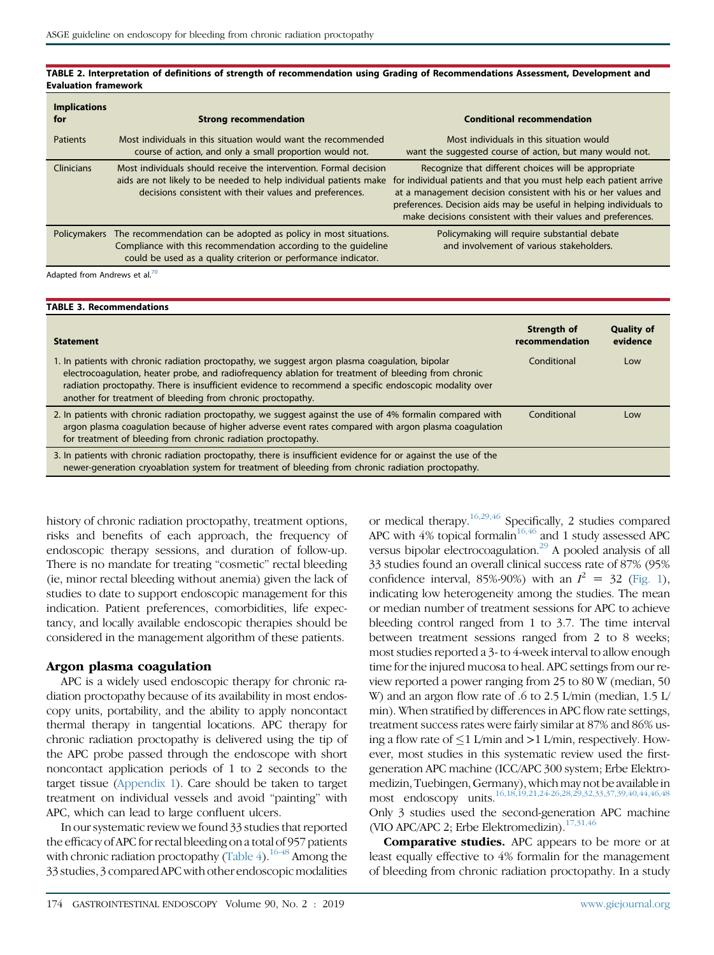#### <span id="page-3-0"></span>TABLE 2. Interpretation of definitions of strength of recommendation using Grading of Recommendations Assessment, Development and Evaluation framework

| <b>Implications</b><br>for | <b>Strong recommendation</b>                                                                                                                                                                                     | <b>Conditional recommendation</b>                                                                                                                                                                                                                                                                                                  |
|----------------------------|------------------------------------------------------------------------------------------------------------------------------------------------------------------------------------------------------------------|------------------------------------------------------------------------------------------------------------------------------------------------------------------------------------------------------------------------------------------------------------------------------------------------------------------------------------|
| Patients                   | Most individuals in this situation would want the recommended<br>course of action, and only a small proportion would not.                                                                                        | Most individuals in this situation would<br>want the suggested course of action, but many would not.                                                                                                                                                                                                                               |
| Clinicians                 | Most individuals should receive the intervention. Formal decision<br>aids are not likely to be needed to help individual patients make<br>decisions consistent with their values and preferences.                | Recognize that different choices will be appropriate<br>for individual patients and that you must help each patient arrive<br>at a management decision consistent with his or her values and<br>preferences. Decision aids may be useful in helping individuals to<br>make decisions consistent with their values and preferences. |
|                            | Policymakers The recommendation can be adopted as policy in most situations.<br>Compliance with this recommendation according to the quideline<br>could be used as a quality criterion or performance indicator. | Policymaking will require substantial debate<br>and involvement of various stakeholders.                                                                                                                                                                                                                                           |
|                            |                                                                                                                                                                                                                  |                                                                                                                                                                                                                                                                                                                                    |

Adapted from Andrews et al.

| <b>TABLE 3. Recommendations</b>                                                                                                                                                                                                                                                                                                                                                  |                                      |                               |  |  |  |  |  |  |  |
|----------------------------------------------------------------------------------------------------------------------------------------------------------------------------------------------------------------------------------------------------------------------------------------------------------------------------------------------------------------------------------|--------------------------------------|-------------------------------|--|--|--|--|--|--|--|
| <b>Statement</b>                                                                                                                                                                                                                                                                                                                                                                 | <b>Strength of</b><br>recommendation | <b>Quality of</b><br>evidence |  |  |  |  |  |  |  |
| 1. In patients with chronic radiation proctopathy, we suggest argon plasma coagulation, bipolar<br>electrocoagulation, heater probe, and radiofrequency ablation for treatment of bleeding from chronic<br>radiation proctopathy. There is insufficient evidence to recommend a specific endoscopic modality over<br>another for treatment of bleeding from chronic proctopathy. | Conditional                          | Low                           |  |  |  |  |  |  |  |
| 2. In patients with chronic radiation proctopathy, we suggest against the use of 4% formalin compared with<br>argon plasma coagulation because of higher adverse event rates compared with argon plasma coagulation<br>for treatment of bleeding from chronic radiation proctopathy.                                                                                             | Conditional                          | Low                           |  |  |  |  |  |  |  |
| 3. In patients with chronic radiation proctopathy, there is insufficient evidence for or against the use of the<br>newer-generation cryoablation system for treatment of bleeding from chronic radiation proctopathy.                                                                                                                                                            |                                      |                               |  |  |  |  |  |  |  |

history of chronic radiation proctopathy, treatment options, risks and benefits of each approach, the frequency of endoscopic therapy sessions, and duration of follow-up. There is no mandate for treating "cosmetic" rectal bleeding (ie, minor rectal bleeding without anemia) given the lack of studies to date to support endoscopic management for this indication. Patient preferences, comorbidities, life expectancy, and locally available endoscopic therapies should be considered in the management algorithm of these patients.

### Argon plasma coagulation

APC is a widely used endoscopic therapy for chronic radiation proctopathy because of its availability in most endoscopy units, portability, and the ability to apply noncontact thermal therapy in tangential locations. APC therapy for chronic radiation proctopathy is delivered using the tip of the APC probe passed through the endoscope with short noncontact application periods of 1 to 2 seconds to the target tissue [\(Appendix 1](#page-12-0)). Care should be taken to target treatment on individual vessels and avoid "painting" with APC, which can lead to large confluent ulcers.

In our systematic review we found 33 studies that reported the efficacy of APC for rectal bleeding on a total of 957 patients with chronic radiation proctopathy [\(Table 4\)](#page-5-0).<sup>[16-48](#page-10-0)</sup> Among the 33 studies, 3 compared APC with other endoscopic modalities

or medical therapy. $16,29,46$  Specifically, 2 studies compared APC with  $4\%$  topical formalin<sup>16,46</sup> and 1 study assessed APC versus bipolar electrocoagulation.<sup>29</sup> A pooled analysis of all 33 studies found an overall clinical success rate of 87% (95% confidence interval, 85%-90%) with an  $I^2 = 32$  [\(Fig. 1\)](#page-7-0), indicating low heterogeneity among the studies. The mean or median number of treatment sessions for APC to achieve bleeding control ranged from 1 to 3.7. The time interval between treatment sessions ranged from 2 to 8 weeks; most studies reported a 3- to 4-week interval to allow enough time for the injured mucosa to heal. APC settings from our review reported a power ranging from 25 to 80 W (median, 50 W) and an argon flow rate of .6 to 2.5 L/min (median, 1.5 L/ min). When stratified by differences in APC flow rate settings, treatment success rates were fairly similar at 87% and 86% using a flow rate of  $\leq 1$  L/min and  $>1$  L/min, respectively. However, most studies in this systematic review used the firstgeneration APC machine (ICC/APC 300 system; Erbe Elektromedizin, Tuebingen, Germany), which may not be available in most endoscopy units.<sup>[16,18,19,21,24-26,28,29,32,33,37,39,40,44,46,48](#page-10-0)</sup> Only 3 studies used the second-generation APC machine (VIO APC/APC 2; Erbe Elektromedizin).<sup>17,31,46</sup>

Comparative studies. APC appears to be more or at least equally effective to 4% formalin for the management of bleeding from chronic radiation proctopathy. In a study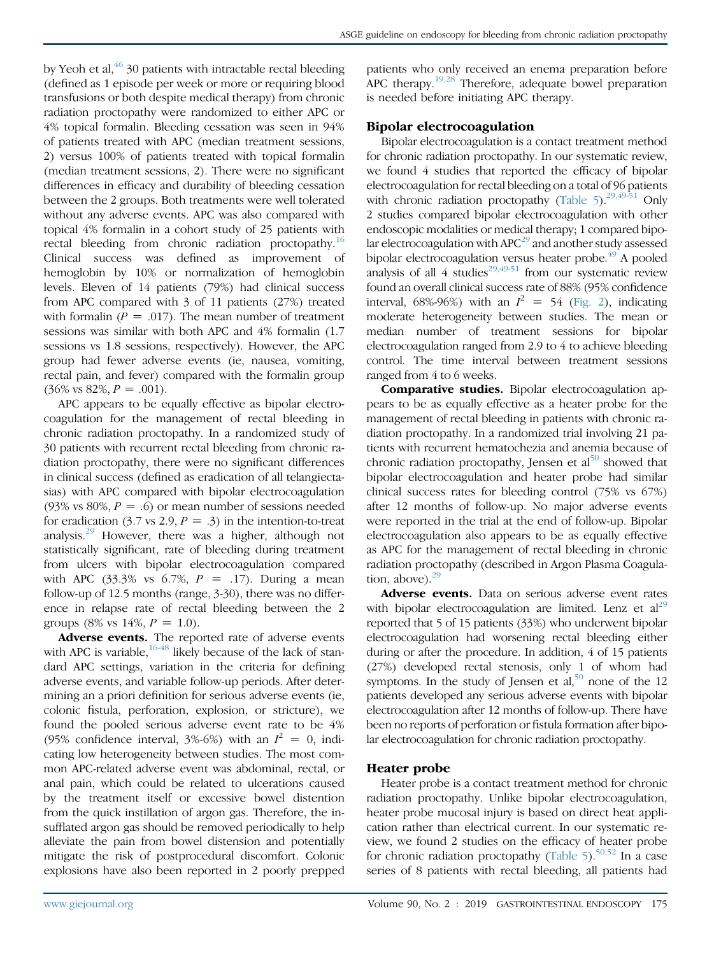by Yeoh et al,  $46/30$  $46/30$  patients with intractable rectal bleeding (defined as 1 episode per week or more or requiring blood transfusions or both despite medical therapy) from chronic radiation proctopathy were randomized to either APC or 4% topical formalin. Bleeding cessation was seen in 94% of patients treated with APC (median treatment sessions, 2) versus 100% of patients treated with topical formalin (median treatment sessions, 2). There were no significant differences in efficacy and durability of bleeding cessation between the 2 groups. Both treatments were well tolerated without any adverse events. APC was also compared with topical 4% formalin in a cohort study of 25 patients with rectal bleeding from chronic radiation proctopathy.<sup>[16](#page-10-0)</sup> Clinical success was defined as improvement of hemoglobin by 10% or normalization of hemoglobin levels. Eleven of 14 patients (79%) had clinical success from APC compared with 3 of 11 patients (27%) treated with formalin ( $P = .017$ ). The mean number of treatment sessions was similar with both APC and 4% formalin (1.7 sessions vs 1.8 sessions, respectively). However, the APC group had fewer adverse events (ie, nausea, vomiting, rectal pain, and fever) compared with the formalin group  $(36\% \text{ vs } 82\%, P = .001).$ 

APC appears to be equally effective as bipolar electrocoagulation for the management of rectal bleeding in chronic radiation proctopathy. In a randomized study of 30 patients with recurrent rectal bleeding from chronic radiation proctopathy, there were no significant differences in clinical success (defined as eradication of all telangiectasias) with APC compared with bipolar electrocoagulation (93% vs 80%,  $P = .6$ ) or mean number of sessions needed for eradication (3.7 vs 2.9,  $P = .3$ ) in the intention-to-treat analysis.<sup>[29](#page-10-0)</sup> However, there was a higher, although not statistically significant, rate of bleeding during treatment from ulcers with bipolar electrocoagulation compared with APC (33.3% vs 6.7%,  $P = .17$ ). During a mean follow-up of 12.5 months (range, 3-30), there was no difference in relapse rate of rectal bleeding between the 2 groups (8% vs  $14\%, P = 1.0$ ).

Adverse events. The reported rate of adverse events with APC is variable, $16-48$  likely because of the lack of standard APC settings, variation in the criteria for defining adverse events, and variable follow-up periods. After determining an a priori definition for serious adverse events (ie, colonic fistula, perforation, explosion, or stricture), we found the pooled serious adverse event rate to be 4% (95% confidence interval, 3%-6%) with an  $I^2 = 0$ , indicating low heterogeneity between studies. The most common APC-related adverse event was abdominal, rectal, or anal pain, which could be related to ulcerations caused by the treatment itself or excessive bowel distention from the quick instillation of argon gas. Therefore, the insufflated argon gas should be removed periodically to help alleviate the pain from bowel distension and potentially mitigate the risk of postprocedural discomfort. Colonic explosions have also been reported in 2 poorly prepped

patients who only received an enema preparation before APC therapy.[19,28](#page-10-0) Therefore, adequate bowel preparation is needed before initiating APC therapy.

#### Bipolar electrocoagulation

Bipolar electrocoagulation is a contact treatment method for chronic radiation proctopathy. In our systematic review, we found 4 studies that reported the efficacy of bipolar electrocoagulation for rectal bleeding on a total of 96 patients with chronic radiation proctopathy ([Table 5\)](#page-8-0).<sup>29,49-51</sup> Only 2 studies compared bipolar electrocoagulation with other endoscopic modalities or medical therapy; 1 compared bipolar electrocoagulation with  $APC<sup>29</sup>$  and another study assessed bipolar electrocoagulation versus heater probe.<sup>[49](#page-11-0)</sup> A pooled analysis of all  $4 \times 10^{29,49-51}$  from our systematic review found an overall clinical success rate of 88% (95% confidence interval, 68%-96%) with an  $I^2 = 54$  [\(Fig. 2](#page-9-0)), indicating moderate heterogeneity between studies. The mean or median number of treatment sessions for bipolar electrocoagulation ranged from 2.9 to 4 to achieve bleeding control. The time interval between treatment sessions ranged from 4 to 6 weeks.

Comparative studies. Bipolar electrocoagulation appears to be as equally effective as a heater probe for the management of rectal bleeding in patients with chronic radiation proctopathy. In a randomized trial involving 21 patients with recurrent hematochezia and anemia because of chronic radiation proctopathy, Jensen et  $al<sup>50</sup>$  $al<sup>50</sup>$  $al<sup>50</sup>$  showed that bipolar electrocoagulation and heater probe had similar clinical success rates for bleeding control (75% vs 67%) after 12 months of follow-up. No major adverse events were reported in the trial at the end of follow-up. Bipolar electrocoagulation also appears to be as equally effective as APC for the management of rectal bleeding in chronic radiation proctopathy (described in Argon Plasma Coagulation, above). $29$ 

Adverse events. Data on serious adverse event rates with bipolar electrocoagulation are limited. Lenz et  $al<sup>29</sup>$  $al<sup>29</sup>$  $al<sup>29</sup>$ reported that 5 of 15 patients (33%) who underwent bipolar electrocoagulation had worsening rectal bleeding either during or after the procedure. In addition, 4 of 15 patients (27%) developed rectal stenosis, only 1 of whom had symptoms. In the study of Jensen et al,<sup>[50](#page-11-0)</sup> none of the 12 patients developed any serious adverse events with bipolar electrocoagulation after 12 months of follow-up. There have been no reports of perforation or fistula formation after bipolar electrocoagulation for chronic radiation proctopathy.

# Heater probe

Heater probe is a contact treatment method for chronic radiation proctopathy. Unlike bipolar electrocoagulation, heater probe mucosal injury is based on direct heat application rather than electrical current. In our systematic review, we found 2 studies on the efficacy of heater probe for chronic radiation proctopathy [\(Table 5\)](#page-8-0).<sup>[50,52](#page-11-0)</sup> In a case series of 8 patients with rectal bleeding, all patients had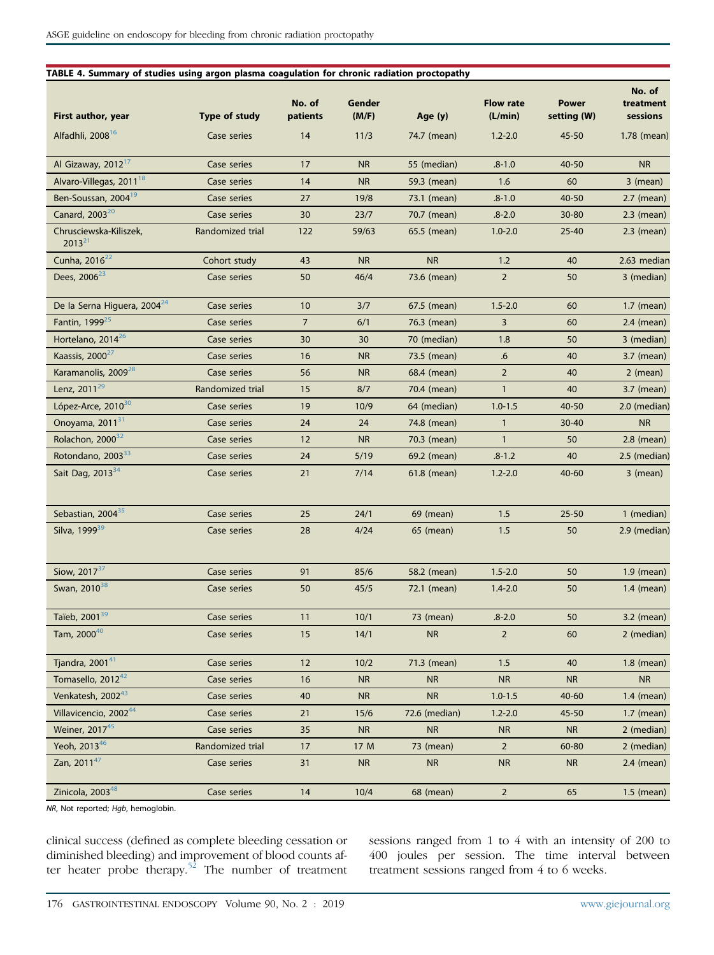#### <span id="page-5-0"></span>TABLE 4. Summary of studies using argon plasma coagulation for chronic radiation proctopathy

| Alfadhli, 2008 <sup>16</sup><br>Case series<br>14<br>1.78 (mean)<br>11/3<br>74.7 (mean)<br>$1.2 - 2.0$<br>45-50<br>Al Gizaway, 2012 <sup>17</sup><br>17<br><b>NR</b><br><b>NR</b><br>55 (median)<br>$.8 - 1.0$<br>40-50<br>Case series<br>Alvaro-Villegas, 2011 <sup>18</sup><br><b>NR</b><br>14<br>1.6<br>60<br>Case series<br>59.3 (mean)<br>3 (mean)<br>Ben-Soussan, 2004 <sup>19</sup><br>Case series<br>27<br>19/8<br>73.1 (mean)<br>$.8 - 1.0$<br>40-50<br>$2.7$ (mean)<br>Canard, 2003 <sup>20</sup><br>Case series<br>30<br>23/7<br>70.7 (mean)<br>$.8 - 2.0$<br>30-80<br>$2.3$ (mean)<br>Chrusciewska-Kiliszek,<br>Randomized trial<br>122<br>59/63<br>65.5 (mean)<br>$1.0 - 2.0$<br>$25 - 40$<br>$2.3$ (mean)<br>$2013^{21}$<br>Cunha, 2016 <sup>22</sup><br><b>NR</b><br><b>NR</b><br>Cohort study<br>43<br>1.2<br>40<br>Dees, 2006 <sup>23</sup><br>50<br>50<br>46/4<br>73.6 (mean)<br>$\overline{2}$<br>3 (median)<br>Case series<br>De la Serna Higuera, 2004 <sup>24</sup><br>10<br>Case series<br>3/7<br>$1.5 - 2.0$<br>60<br>$1.7$ (mean)<br>67.5 (mean)<br>Fantin, 1999 <sup>25</sup><br>Case series<br>$\overline{7}$<br>6/1<br>60<br>76.3 (mean)<br>3<br>$2.4$ (mean)<br>Hortelano, 2014 <sup>26</sup><br>Case series<br>30<br>30<br>70 (median)<br>1.8<br>50<br>3 (median)<br>Kaassis, 2000 <sup>27</sup><br>16<br><b>NR</b><br>.6<br>40<br>Case series<br>73.5 (mean)<br>3.7 (mean)<br>Karamanolis, 2009 <sup>28</sup><br>$\overline{2}$<br>56<br><b>NR</b><br>40<br>Case series<br>2 (mean)<br>68.4 (mean)<br>Lenz, 2011 <sup>29</sup><br>$\mathbf{1}$<br>Randomized trial<br>15<br>8/7<br>40<br>70.4 (mean)<br>$3.7$ (mean)<br>López-Arce, 2010 <sup>30</sup><br>19<br>10/9<br>$1.0 - 1.5$<br>40-50<br>Case series<br>64 (median)<br>2.0 (median)<br>Onoyama, 2011 <sup>31</sup><br>24<br>24<br>$\mathbf{1}$<br><b>NR</b><br>Case series<br>74.8 (mean)<br>$30 - 40$<br>Rolachon, 2000 <sup>32</sup><br><b>NR</b><br>Case series<br>12<br>70.3 (mean)<br>$\mathbf{1}$<br>50<br>$2.8$ (mean)<br>Rotondano, 2003 <sup>33</sup><br>24<br>5/19<br>69.2 (mean)<br>$.8 - 1.2$<br>40<br>2.5 (median)<br>Case series<br>Sait Dag, 2013 <sup>34</sup><br>21<br>40-60<br>Case series<br>7/14<br>61.8 (mean)<br>$1.2 - 2.0$<br>3 (mean)<br>Sebastian, 2004 <sup>35</sup><br>Case series<br>25<br>1.5<br>1 (median)<br>24/1<br>69 (mean)<br>$25 - 50$<br>Silva, 1999 <sup>39</sup><br>28<br>1.5<br>50<br>Case series<br>4/24<br>65 (mean)<br>2.9 (median)<br>Siow, 2017 <sup>37</sup><br>Case series<br>91<br>85/6<br>$1.5 - 2.0$<br>50<br>58.2 (mean)<br>$1.9$ (mean)<br>Swan, 2010 <sup>38</sup><br>50<br>45/5<br>50<br>Case series<br>72.1 (mean)<br>$1.4 - 2.0$<br>$1.4$ (mean)<br>Taïeb, 2001 <sup>39</sup><br>Case series<br>11<br>10/1<br>73 (mean)<br>$.8 - 2.0$<br>50<br>3.2 (mean)<br>Tam, 200040<br>$\overline{2}$<br>Case series<br>15<br>14/1<br><b>NR</b><br>60<br>2 (median)<br>Tjandra, 2001 <sup>41</sup><br>12<br>1.5<br>40<br>Case series<br>10/2<br>71.3 (mean)<br>$1.8$ (mean)<br>Tomasello, 2012 <sup>42</sup><br>16<br><b>NR</b><br><b>NR</b><br><b>NR</b><br><b>NR</b><br>Case series<br><b>NR</b><br>Venkatesh, 2002 <sup>43</sup><br>Case series<br>40<br><b>NR</b><br><b>NR</b><br>$1.0 - 1.5$<br>40-60<br>$1.4$ (mean)<br>Villavicencio, 200244<br>72.6 (median)<br>$1.7$ (mean)<br>Case series<br>21<br>15/6<br>$1.2 - 2.0$<br>45-50<br>Weiner, 201745<br>35<br><b>NR</b><br><b>NR</b><br><b>NR</b><br><b>NR</b><br>Case series<br>2 (median)<br>Yeoh, 201346<br>Randomized trial<br>17<br>17 M<br>73 (mean)<br>$\overline{2}$<br>60-80<br>2 (median)<br>Zan, 2011 <sup>47</sup><br>31<br><b>NR</b><br><b>NR</b><br><b>NR</b><br><b>NR</b><br>Case series<br>$2.4$ (mean)<br>Zinicola, 2003 <sup>48</sup><br>14<br>$\mathbf 2$<br>Case series<br>10/4<br>68 (mean)<br>65<br>$1.5$ (mean) | First author, year | Type of study | No. of<br>patients | Gender<br>(M/F) | Age (y) | <b>Flow rate</b><br>(L/min) | <b>Power</b><br>setting (W) | No. of<br>treatment<br>sessions |
|-----------------------------------------------------------------------------------------------------------------------------------------------------------------------------------------------------------------------------------------------------------------------------------------------------------------------------------------------------------------------------------------------------------------------------------------------------------------------------------------------------------------------------------------------------------------------------------------------------------------------------------------------------------------------------------------------------------------------------------------------------------------------------------------------------------------------------------------------------------------------------------------------------------------------------------------------------------------------------------------------------------------------------------------------------------------------------------------------------------------------------------------------------------------------------------------------------------------------------------------------------------------------------------------------------------------------------------------------------------------------------------------------------------------------------------------------------------------------------------------------------------------------------------------------------------------------------------------------------------------------------------------------------------------------------------------------------------------------------------------------------------------------------------------------------------------------------------------------------------------------------------------------------------------------------------------------------------------------------------------------------------------------------------------------------------------------------------------------------------------------------------------------------------------------------------------------------------------------------------------------------------------------------------------------------------------------------------------------------------------------------------------------------------------------------------------------------------------------------------------------------------------------------------------------------------------------------------------------------------------------------------------------------------------------------------------------------------------------------------------------------------------------------------------------------------------------------------------------------------------------------------------------------------------------------------------------------------------------------------------------------------------------------------------------------------------------------------------------------------------------------------------------------------------------------------------------------------------------------------------------------------------------------------------------------------------------------------------------------------------------------------------------------------------------------------------------------------------------------------------------------------------------------------------------------------------------------------------------------------------------------------------------------------------------------------------------------------------------------------------------------------------------------------------------------------------------------------|--------------------|---------------|--------------------|-----------------|---------|-----------------------------|-----------------------------|---------------------------------|
|                                                                                                                                                                                                                                                                                                                                                                                                                                                                                                                                                                                                                                                                                                                                                                                                                                                                                                                                                                                                                                                                                                                                                                                                                                                                                                                                                                                                                                                                                                                                                                                                                                                                                                                                                                                                                                                                                                                                                                                                                                                                                                                                                                                                                                                                                                                                                                                                                                                                                                                                                                                                                                                                                                                                                                                                                                                                                                                                                                                                                                                                                                                                                                                                                                                                                                                                                                                                                                                                                                                                                                                                                                                                                                                                                                                                                                   |                    |               |                    |                 |         |                             |                             |                                 |
|                                                                                                                                                                                                                                                                                                                                                                                                                                                                                                                                                                                                                                                                                                                                                                                                                                                                                                                                                                                                                                                                                                                                                                                                                                                                                                                                                                                                                                                                                                                                                                                                                                                                                                                                                                                                                                                                                                                                                                                                                                                                                                                                                                                                                                                                                                                                                                                                                                                                                                                                                                                                                                                                                                                                                                                                                                                                                                                                                                                                                                                                                                                                                                                                                                                                                                                                                                                                                                                                                                                                                                                                                                                                                                                                                                                                                                   |                    |               |                    |                 |         |                             |                             |                                 |
|                                                                                                                                                                                                                                                                                                                                                                                                                                                                                                                                                                                                                                                                                                                                                                                                                                                                                                                                                                                                                                                                                                                                                                                                                                                                                                                                                                                                                                                                                                                                                                                                                                                                                                                                                                                                                                                                                                                                                                                                                                                                                                                                                                                                                                                                                                                                                                                                                                                                                                                                                                                                                                                                                                                                                                                                                                                                                                                                                                                                                                                                                                                                                                                                                                                                                                                                                                                                                                                                                                                                                                                                                                                                                                                                                                                                                                   |                    |               |                    |                 |         |                             |                             |                                 |
|                                                                                                                                                                                                                                                                                                                                                                                                                                                                                                                                                                                                                                                                                                                                                                                                                                                                                                                                                                                                                                                                                                                                                                                                                                                                                                                                                                                                                                                                                                                                                                                                                                                                                                                                                                                                                                                                                                                                                                                                                                                                                                                                                                                                                                                                                                                                                                                                                                                                                                                                                                                                                                                                                                                                                                                                                                                                                                                                                                                                                                                                                                                                                                                                                                                                                                                                                                                                                                                                                                                                                                                                                                                                                                                                                                                                                                   |                    |               |                    |                 |         |                             |                             |                                 |
|                                                                                                                                                                                                                                                                                                                                                                                                                                                                                                                                                                                                                                                                                                                                                                                                                                                                                                                                                                                                                                                                                                                                                                                                                                                                                                                                                                                                                                                                                                                                                                                                                                                                                                                                                                                                                                                                                                                                                                                                                                                                                                                                                                                                                                                                                                                                                                                                                                                                                                                                                                                                                                                                                                                                                                                                                                                                                                                                                                                                                                                                                                                                                                                                                                                                                                                                                                                                                                                                                                                                                                                                                                                                                                                                                                                                                                   |                    |               |                    |                 |         |                             |                             |                                 |
|                                                                                                                                                                                                                                                                                                                                                                                                                                                                                                                                                                                                                                                                                                                                                                                                                                                                                                                                                                                                                                                                                                                                                                                                                                                                                                                                                                                                                                                                                                                                                                                                                                                                                                                                                                                                                                                                                                                                                                                                                                                                                                                                                                                                                                                                                                                                                                                                                                                                                                                                                                                                                                                                                                                                                                                                                                                                                                                                                                                                                                                                                                                                                                                                                                                                                                                                                                                                                                                                                                                                                                                                                                                                                                                                                                                                                                   |                    |               |                    |                 |         |                             |                             |                                 |
|                                                                                                                                                                                                                                                                                                                                                                                                                                                                                                                                                                                                                                                                                                                                                                                                                                                                                                                                                                                                                                                                                                                                                                                                                                                                                                                                                                                                                                                                                                                                                                                                                                                                                                                                                                                                                                                                                                                                                                                                                                                                                                                                                                                                                                                                                                                                                                                                                                                                                                                                                                                                                                                                                                                                                                                                                                                                                                                                                                                                                                                                                                                                                                                                                                                                                                                                                                                                                                                                                                                                                                                                                                                                                                                                                                                                                                   |                    |               |                    |                 |         |                             |                             | 2.63 median                     |
|                                                                                                                                                                                                                                                                                                                                                                                                                                                                                                                                                                                                                                                                                                                                                                                                                                                                                                                                                                                                                                                                                                                                                                                                                                                                                                                                                                                                                                                                                                                                                                                                                                                                                                                                                                                                                                                                                                                                                                                                                                                                                                                                                                                                                                                                                                                                                                                                                                                                                                                                                                                                                                                                                                                                                                                                                                                                                                                                                                                                                                                                                                                                                                                                                                                                                                                                                                                                                                                                                                                                                                                                                                                                                                                                                                                                                                   |                    |               |                    |                 |         |                             |                             |                                 |
|                                                                                                                                                                                                                                                                                                                                                                                                                                                                                                                                                                                                                                                                                                                                                                                                                                                                                                                                                                                                                                                                                                                                                                                                                                                                                                                                                                                                                                                                                                                                                                                                                                                                                                                                                                                                                                                                                                                                                                                                                                                                                                                                                                                                                                                                                                                                                                                                                                                                                                                                                                                                                                                                                                                                                                                                                                                                                                                                                                                                                                                                                                                                                                                                                                                                                                                                                                                                                                                                                                                                                                                                                                                                                                                                                                                                                                   |                    |               |                    |                 |         |                             |                             |                                 |
|                                                                                                                                                                                                                                                                                                                                                                                                                                                                                                                                                                                                                                                                                                                                                                                                                                                                                                                                                                                                                                                                                                                                                                                                                                                                                                                                                                                                                                                                                                                                                                                                                                                                                                                                                                                                                                                                                                                                                                                                                                                                                                                                                                                                                                                                                                                                                                                                                                                                                                                                                                                                                                                                                                                                                                                                                                                                                                                                                                                                                                                                                                                                                                                                                                                                                                                                                                                                                                                                                                                                                                                                                                                                                                                                                                                                                                   |                    |               |                    |                 |         |                             |                             |                                 |
|                                                                                                                                                                                                                                                                                                                                                                                                                                                                                                                                                                                                                                                                                                                                                                                                                                                                                                                                                                                                                                                                                                                                                                                                                                                                                                                                                                                                                                                                                                                                                                                                                                                                                                                                                                                                                                                                                                                                                                                                                                                                                                                                                                                                                                                                                                                                                                                                                                                                                                                                                                                                                                                                                                                                                                                                                                                                                                                                                                                                                                                                                                                                                                                                                                                                                                                                                                                                                                                                                                                                                                                                                                                                                                                                                                                                                                   |                    |               |                    |                 |         |                             |                             |                                 |
|                                                                                                                                                                                                                                                                                                                                                                                                                                                                                                                                                                                                                                                                                                                                                                                                                                                                                                                                                                                                                                                                                                                                                                                                                                                                                                                                                                                                                                                                                                                                                                                                                                                                                                                                                                                                                                                                                                                                                                                                                                                                                                                                                                                                                                                                                                                                                                                                                                                                                                                                                                                                                                                                                                                                                                                                                                                                                                                                                                                                                                                                                                                                                                                                                                                                                                                                                                                                                                                                                                                                                                                                                                                                                                                                                                                                                                   |                    |               |                    |                 |         |                             |                             |                                 |
|                                                                                                                                                                                                                                                                                                                                                                                                                                                                                                                                                                                                                                                                                                                                                                                                                                                                                                                                                                                                                                                                                                                                                                                                                                                                                                                                                                                                                                                                                                                                                                                                                                                                                                                                                                                                                                                                                                                                                                                                                                                                                                                                                                                                                                                                                                                                                                                                                                                                                                                                                                                                                                                                                                                                                                                                                                                                                                                                                                                                                                                                                                                                                                                                                                                                                                                                                                                                                                                                                                                                                                                                                                                                                                                                                                                                                                   |                    |               |                    |                 |         |                             |                             |                                 |
|                                                                                                                                                                                                                                                                                                                                                                                                                                                                                                                                                                                                                                                                                                                                                                                                                                                                                                                                                                                                                                                                                                                                                                                                                                                                                                                                                                                                                                                                                                                                                                                                                                                                                                                                                                                                                                                                                                                                                                                                                                                                                                                                                                                                                                                                                                                                                                                                                                                                                                                                                                                                                                                                                                                                                                                                                                                                                                                                                                                                                                                                                                                                                                                                                                                                                                                                                                                                                                                                                                                                                                                                                                                                                                                                                                                                                                   |                    |               |                    |                 |         |                             |                             |                                 |
|                                                                                                                                                                                                                                                                                                                                                                                                                                                                                                                                                                                                                                                                                                                                                                                                                                                                                                                                                                                                                                                                                                                                                                                                                                                                                                                                                                                                                                                                                                                                                                                                                                                                                                                                                                                                                                                                                                                                                                                                                                                                                                                                                                                                                                                                                                                                                                                                                                                                                                                                                                                                                                                                                                                                                                                                                                                                                                                                                                                                                                                                                                                                                                                                                                                                                                                                                                                                                                                                                                                                                                                                                                                                                                                                                                                                                                   |                    |               |                    |                 |         |                             |                             |                                 |
|                                                                                                                                                                                                                                                                                                                                                                                                                                                                                                                                                                                                                                                                                                                                                                                                                                                                                                                                                                                                                                                                                                                                                                                                                                                                                                                                                                                                                                                                                                                                                                                                                                                                                                                                                                                                                                                                                                                                                                                                                                                                                                                                                                                                                                                                                                                                                                                                                                                                                                                                                                                                                                                                                                                                                                                                                                                                                                                                                                                                                                                                                                                                                                                                                                                                                                                                                                                                                                                                                                                                                                                                                                                                                                                                                                                                                                   |                    |               |                    |                 |         |                             |                             |                                 |
|                                                                                                                                                                                                                                                                                                                                                                                                                                                                                                                                                                                                                                                                                                                                                                                                                                                                                                                                                                                                                                                                                                                                                                                                                                                                                                                                                                                                                                                                                                                                                                                                                                                                                                                                                                                                                                                                                                                                                                                                                                                                                                                                                                                                                                                                                                                                                                                                                                                                                                                                                                                                                                                                                                                                                                                                                                                                                                                                                                                                                                                                                                                                                                                                                                                                                                                                                                                                                                                                                                                                                                                                                                                                                                                                                                                                                                   |                    |               |                    |                 |         |                             |                             |                                 |
|                                                                                                                                                                                                                                                                                                                                                                                                                                                                                                                                                                                                                                                                                                                                                                                                                                                                                                                                                                                                                                                                                                                                                                                                                                                                                                                                                                                                                                                                                                                                                                                                                                                                                                                                                                                                                                                                                                                                                                                                                                                                                                                                                                                                                                                                                                                                                                                                                                                                                                                                                                                                                                                                                                                                                                                                                                                                                                                                                                                                                                                                                                                                                                                                                                                                                                                                                                                                                                                                                                                                                                                                                                                                                                                                                                                                                                   |                    |               |                    |                 |         |                             |                             |                                 |
|                                                                                                                                                                                                                                                                                                                                                                                                                                                                                                                                                                                                                                                                                                                                                                                                                                                                                                                                                                                                                                                                                                                                                                                                                                                                                                                                                                                                                                                                                                                                                                                                                                                                                                                                                                                                                                                                                                                                                                                                                                                                                                                                                                                                                                                                                                                                                                                                                                                                                                                                                                                                                                                                                                                                                                                                                                                                                                                                                                                                                                                                                                                                                                                                                                                                                                                                                                                                                                                                                                                                                                                                                                                                                                                                                                                                                                   |                    |               |                    |                 |         |                             |                             |                                 |
|                                                                                                                                                                                                                                                                                                                                                                                                                                                                                                                                                                                                                                                                                                                                                                                                                                                                                                                                                                                                                                                                                                                                                                                                                                                                                                                                                                                                                                                                                                                                                                                                                                                                                                                                                                                                                                                                                                                                                                                                                                                                                                                                                                                                                                                                                                                                                                                                                                                                                                                                                                                                                                                                                                                                                                                                                                                                                                                                                                                                                                                                                                                                                                                                                                                                                                                                                                                                                                                                                                                                                                                                                                                                                                                                                                                                                                   |                    |               |                    |                 |         |                             |                             |                                 |
|                                                                                                                                                                                                                                                                                                                                                                                                                                                                                                                                                                                                                                                                                                                                                                                                                                                                                                                                                                                                                                                                                                                                                                                                                                                                                                                                                                                                                                                                                                                                                                                                                                                                                                                                                                                                                                                                                                                                                                                                                                                                                                                                                                                                                                                                                                                                                                                                                                                                                                                                                                                                                                                                                                                                                                                                                                                                                                                                                                                                                                                                                                                                                                                                                                                                                                                                                                                                                                                                                                                                                                                                                                                                                                                                                                                                                                   |                    |               |                    |                 |         |                             |                             |                                 |
|                                                                                                                                                                                                                                                                                                                                                                                                                                                                                                                                                                                                                                                                                                                                                                                                                                                                                                                                                                                                                                                                                                                                                                                                                                                                                                                                                                                                                                                                                                                                                                                                                                                                                                                                                                                                                                                                                                                                                                                                                                                                                                                                                                                                                                                                                                                                                                                                                                                                                                                                                                                                                                                                                                                                                                                                                                                                                                                                                                                                                                                                                                                                                                                                                                                                                                                                                                                                                                                                                                                                                                                                                                                                                                                                                                                                                                   |                    |               |                    |                 |         |                             |                             |                                 |
|                                                                                                                                                                                                                                                                                                                                                                                                                                                                                                                                                                                                                                                                                                                                                                                                                                                                                                                                                                                                                                                                                                                                                                                                                                                                                                                                                                                                                                                                                                                                                                                                                                                                                                                                                                                                                                                                                                                                                                                                                                                                                                                                                                                                                                                                                                                                                                                                                                                                                                                                                                                                                                                                                                                                                                                                                                                                                                                                                                                                                                                                                                                                                                                                                                                                                                                                                                                                                                                                                                                                                                                                                                                                                                                                                                                                                                   |                    |               |                    |                 |         |                             |                             |                                 |
|                                                                                                                                                                                                                                                                                                                                                                                                                                                                                                                                                                                                                                                                                                                                                                                                                                                                                                                                                                                                                                                                                                                                                                                                                                                                                                                                                                                                                                                                                                                                                                                                                                                                                                                                                                                                                                                                                                                                                                                                                                                                                                                                                                                                                                                                                                                                                                                                                                                                                                                                                                                                                                                                                                                                                                                                                                                                                                                                                                                                                                                                                                                                                                                                                                                                                                                                                                                                                                                                                                                                                                                                                                                                                                                                                                                                                                   |                    |               |                    |                 |         |                             |                             |                                 |
|                                                                                                                                                                                                                                                                                                                                                                                                                                                                                                                                                                                                                                                                                                                                                                                                                                                                                                                                                                                                                                                                                                                                                                                                                                                                                                                                                                                                                                                                                                                                                                                                                                                                                                                                                                                                                                                                                                                                                                                                                                                                                                                                                                                                                                                                                                                                                                                                                                                                                                                                                                                                                                                                                                                                                                                                                                                                                                                                                                                                                                                                                                                                                                                                                                                                                                                                                                                                                                                                                                                                                                                                                                                                                                                                                                                                                                   |                    |               |                    |                 |         |                             |                             |                                 |
|                                                                                                                                                                                                                                                                                                                                                                                                                                                                                                                                                                                                                                                                                                                                                                                                                                                                                                                                                                                                                                                                                                                                                                                                                                                                                                                                                                                                                                                                                                                                                                                                                                                                                                                                                                                                                                                                                                                                                                                                                                                                                                                                                                                                                                                                                                                                                                                                                                                                                                                                                                                                                                                                                                                                                                                                                                                                                                                                                                                                                                                                                                                                                                                                                                                                                                                                                                                                                                                                                                                                                                                                                                                                                                                                                                                                                                   |                    |               |                    |                 |         |                             |                             |                                 |
|                                                                                                                                                                                                                                                                                                                                                                                                                                                                                                                                                                                                                                                                                                                                                                                                                                                                                                                                                                                                                                                                                                                                                                                                                                                                                                                                                                                                                                                                                                                                                                                                                                                                                                                                                                                                                                                                                                                                                                                                                                                                                                                                                                                                                                                                                                                                                                                                                                                                                                                                                                                                                                                                                                                                                                                                                                                                                                                                                                                                                                                                                                                                                                                                                                                                                                                                                                                                                                                                                                                                                                                                                                                                                                                                                                                                                                   |                    |               |                    |                 |         |                             |                             |                                 |
|                                                                                                                                                                                                                                                                                                                                                                                                                                                                                                                                                                                                                                                                                                                                                                                                                                                                                                                                                                                                                                                                                                                                                                                                                                                                                                                                                                                                                                                                                                                                                                                                                                                                                                                                                                                                                                                                                                                                                                                                                                                                                                                                                                                                                                                                                                                                                                                                                                                                                                                                                                                                                                                                                                                                                                                                                                                                                                                                                                                                                                                                                                                                                                                                                                                                                                                                                                                                                                                                                                                                                                                                                                                                                                                                                                                                                                   |                    |               |                    |                 |         |                             |                             |                                 |
|                                                                                                                                                                                                                                                                                                                                                                                                                                                                                                                                                                                                                                                                                                                                                                                                                                                                                                                                                                                                                                                                                                                                                                                                                                                                                                                                                                                                                                                                                                                                                                                                                                                                                                                                                                                                                                                                                                                                                                                                                                                                                                                                                                                                                                                                                                                                                                                                                                                                                                                                                                                                                                                                                                                                                                                                                                                                                                                                                                                                                                                                                                                                                                                                                                                                                                                                                                                                                                                                                                                                                                                                                                                                                                                                                                                                                                   |                    |               |                    |                 |         |                             |                             |                                 |
|                                                                                                                                                                                                                                                                                                                                                                                                                                                                                                                                                                                                                                                                                                                                                                                                                                                                                                                                                                                                                                                                                                                                                                                                                                                                                                                                                                                                                                                                                                                                                                                                                                                                                                                                                                                                                                                                                                                                                                                                                                                                                                                                                                                                                                                                                                                                                                                                                                                                                                                                                                                                                                                                                                                                                                                                                                                                                                                                                                                                                                                                                                                                                                                                                                                                                                                                                                                                                                                                                                                                                                                                                                                                                                                                                                                                                                   |                    |               |                    |                 |         |                             |                             |                                 |
|                                                                                                                                                                                                                                                                                                                                                                                                                                                                                                                                                                                                                                                                                                                                                                                                                                                                                                                                                                                                                                                                                                                                                                                                                                                                                                                                                                                                                                                                                                                                                                                                                                                                                                                                                                                                                                                                                                                                                                                                                                                                                                                                                                                                                                                                                                                                                                                                                                                                                                                                                                                                                                                                                                                                                                                                                                                                                                                                                                                                                                                                                                                                                                                                                                                                                                                                                                                                                                                                                                                                                                                                                                                                                                                                                                                                                                   |                    |               |                    |                 |         |                             |                             |                                 |
|                                                                                                                                                                                                                                                                                                                                                                                                                                                                                                                                                                                                                                                                                                                                                                                                                                                                                                                                                                                                                                                                                                                                                                                                                                                                                                                                                                                                                                                                                                                                                                                                                                                                                                                                                                                                                                                                                                                                                                                                                                                                                                                                                                                                                                                                                                                                                                                                                                                                                                                                                                                                                                                                                                                                                                                                                                                                                                                                                                                                                                                                                                                                                                                                                                                                                                                                                                                                                                                                                                                                                                                                                                                                                                                                                                                                                                   |                    |               |                    |                 |         |                             |                             |                                 |
|                                                                                                                                                                                                                                                                                                                                                                                                                                                                                                                                                                                                                                                                                                                                                                                                                                                                                                                                                                                                                                                                                                                                                                                                                                                                                                                                                                                                                                                                                                                                                                                                                                                                                                                                                                                                                                                                                                                                                                                                                                                                                                                                                                                                                                                                                                                                                                                                                                                                                                                                                                                                                                                                                                                                                                                                                                                                                                                                                                                                                                                                                                                                                                                                                                                                                                                                                                                                                                                                                                                                                                                                                                                                                                                                                                                                                                   |                    |               |                    |                 |         |                             |                             |                                 |

NR, Not reported; Hgb, hemoglobin.

clinical success (defined as complete bleeding cessation or diminished bleeding) and improvement of blood counts af-ter heater probe therapy.<sup>[52](#page-11-0)</sup> The number of treatment

sessions ranged from 1 to 4 with an intensity of 200 to 400 joules per session. The time interval between treatment sessions ranged from 4 to 6 weeks.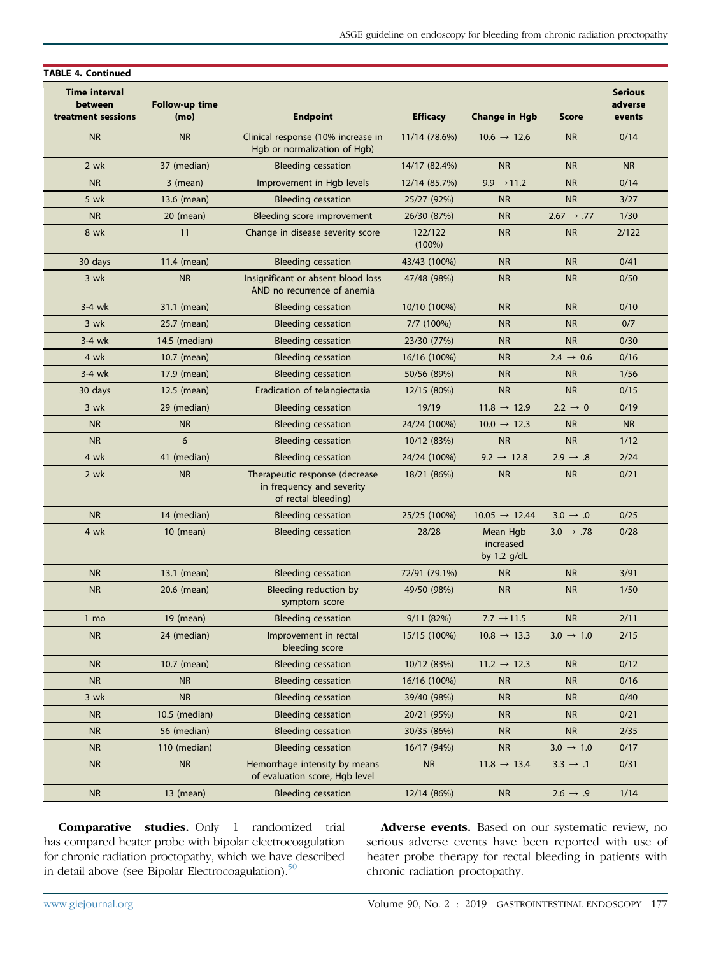| <b>Serious</b><br><b>Time interval</b><br><b>Follow-up time</b><br>adverse<br>between<br>treatment sessions<br><b>Endpoint</b><br><b>Efficacy</b><br><b>Change in Hgb</b><br>(mo)<br><b>Score</b><br>events<br><b>NR</b><br><b>NR</b><br>Clinical response (10% increase in<br>$10.6 \rightarrow 12.6$<br><b>NR</b><br>0/14<br>11/14 (78.6%)<br>Hgb or normalization of Hgb)<br>37 (median)<br><b>Bleeding cessation</b><br><b>NR</b><br><b>NR</b><br><b>NR</b><br>2 wk<br>14/17 (82.4%)<br><b>NR</b><br>$9.9 \rightarrow 11.2$<br>3 (mean)<br>Improvement in Hgb levels<br>12/14 (85.7%)<br><b>NR</b><br>0/14<br><b>NR</b><br>5 wk<br><b>Bleeding cessation</b><br>25/27 (92%)<br>NR<br>3/27<br>13.6 (mean)<br><b>NR</b><br><b>NR</b><br>$2.67 \rightarrow .77$<br>1/30<br>20 (mean)<br>Bleeding score improvement<br>26/30 (87%)<br>8 wk<br>11<br>Change in disease severity score<br>122/122<br><b>NR</b><br><b>NR</b><br>2/122<br>$(100\%)$<br>30 days<br>11.4 (mean)<br><b>Bleeding cessation</b><br>43/43 (100%)<br>NR<br><b>NR</b><br>0/41<br><b>NR</b><br>3 wk<br>Insignificant or absent blood loss<br><b>NR</b><br><b>NR</b><br>0/50<br>47/48 (98%)<br>AND no recurrence of anemia<br>$3-4$ wk<br>31.1 (mean)<br><b>Bleeding cessation</b><br>10/10 (100%)<br><b>NR</b><br><b>NR</b><br>0/10<br>3 wk<br><b>Bleeding cessation</b><br>7/7 (100%)<br>NR<br><b>NR</b><br>0/7<br>25.7 (mean)<br><b>NR</b><br>$3-4$ wk<br>14.5 (median)<br><b>NR</b><br>0/30<br>Bleeding cessation<br>23/30 (77%)<br>4 wk<br>NR.<br>$2.4 \rightarrow 0.6$<br>0/16<br>10.7 (mean)<br>Bleeding cessation<br>16/16 (100%)<br><b>NR</b><br><b>NR</b><br><b>Bleeding cessation</b><br>1/56<br>$3-4$ wk<br>17.9 (mean)<br>50/56 (89%)<br><b>NR</b><br><b>NR</b><br>0/15<br>30 days<br>12.5 (mean)<br>Eradication of telangiectasia<br>12/15 (80%)<br>29 (median)<br><b>Bleeding cessation</b><br>$11.8 \rightarrow 12.9$<br>$2.2 \rightarrow 0$<br>3 wk<br>19/19<br>0/19<br><b>NR</b><br><b>NR</b><br><b>Bleeding cessation</b><br>$10.0 \rightarrow 12.3$<br><b>NR</b><br><b>NR</b><br>24/24 (100%)<br>6<br><b>NR</b><br><b>Bleeding cessation</b><br><b>NR</b><br><b>NR</b><br>1/12<br>10/12 (83%)<br>$9.2 \rightarrow 12.8$<br>41 (median)<br>$2.9 \rightarrow .8$<br>2/24<br>4 wk<br>Bleeding cessation<br>24/24 (100%)<br><b>NR</b><br>Therapeutic response (decrease)<br><b>NR</b><br><b>NR</b><br>0/21<br>2 wk<br>18/21 (86%)<br>in frequency and severity<br>of rectal bleeding)<br><b>NR</b><br>14 (median)<br><b>Bleeding cessation</b><br>25/25 (100%)<br>$10.05 \rightarrow 12.44$<br>$3.0 \rightarrow .0$<br>0/25<br>$10$ (mean)<br>4 wk<br>Bleeding cessation<br>28/28<br>Mean Hgb<br>$3.0 \rightarrow .78$<br>0/28<br>increased<br>by 1.2 $g/dL$<br><b>NR</b><br><b>Bleeding cessation</b><br><b>NR</b><br><b>NR</b><br>3/91<br>13.1 (mean)<br>72/91 (79.1%)<br><b>NR</b><br><b>NR</b><br><b>NR</b><br>1/50<br>20.6 (mean)<br>Bleeding reduction by<br>49/50 (98%)<br>symptom score<br><b>NR</b><br>19 (mean)<br>9/11 (82%)<br>$7.7 \rightarrow 11.5$<br>2/11<br>1 <sub>mo</sub><br>Bleeding cessation<br><b>NR</b><br>$3.0 \rightarrow 1.0$<br>24 (median)<br>Improvement in rectal<br>15/15 (100%)<br>$10.8 \rightarrow 13.3$<br>2/15<br>bleeding score<br>$11.2 \rightarrow 12.3$<br><b>NR</b><br>10.7 (mean)<br>10/12 (83%)<br>0/12<br>Bleeding cessation<br>NR.<br><b>NR</b><br><b>NR</b><br>16/16 (100%)<br><b>NR</b><br><b>NR</b><br>0/16<br>Bleeding cessation<br><b>NR</b><br>3 wk<br><b>NR</b><br><b>NR</b><br>0/40<br><b>Bleeding cessation</b><br>39/40 (98%)<br><b>NR</b><br>ΝR<br><b>NR</b><br>10.5 (median)<br>Bleeding cessation<br>20/21 (95%)<br>0/21<br><b>NR</b><br><b>NR</b><br><b>NR</b><br>2/35<br>56 (median)<br>Bleeding cessation<br>30/35 (86%)<br><b>NR</b><br><b>NR</b><br>$3.0 \rightarrow 1.0$<br>0/17<br>110 (median)<br>Bleeding cessation<br>16/17 (94%)<br><b>NR</b><br>$11.8 \rightarrow 13.4$<br><b>NR</b><br><b>NR</b><br>$3.3 \rightarrow .1$<br>0/31<br>Hemorrhage intensity by means<br>of evaluation score, Hgb level | <b>TABLE 4. Continued</b> |           |                    |             |           |                      |      |
|---------------------------------------------------------------------------------------------------------------------------------------------------------------------------------------------------------------------------------------------------------------------------------------------------------------------------------------------------------------------------------------------------------------------------------------------------------------------------------------------------------------------------------------------------------------------------------------------------------------------------------------------------------------------------------------------------------------------------------------------------------------------------------------------------------------------------------------------------------------------------------------------------------------------------------------------------------------------------------------------------------------------------------------------------------------------------------------------------------------------------------------------------------------------------------------------------------------------------------------------------------------------------------------------------------------------------------------------------------------------------------------------------------------------------------------------------------------------------------------------------------------------------------------------------------------------------------------------------------------------------------------------------------------------------------------------------------------------------------------------------------------------------------------------------------------------------------------------------------------------------------------------------------------------------------------------------------------------------------------------------------------------------------------------------------------------------------------------------------------------------------------------------------------------------------------------------------------------------------------------------------------------------------------------------------------------------------------------------------------------------------------------------------------------------------------------------------------------------------------------------------------------------------------------------------------------------------------------------------------------------------------------------------------------------------------------------------------------------------------------------------------------------------------------------------------------------------------------------------------------------------------------------------------------------------------------------------------------------------------------------------------------------------------------------------------------------------------------------------------------------------------------------------------------------------------------------------------------------------------------------------------------------------------------------------------------------------------------------------------------------------------------------------------------------------------------------------------------------------------------------------------------------------------------------------------------------------------------------------------------------------------------------------------------------------------------------------------------------------------------------------------------------------------------------------------------------------------------------------------------------------------------------------------------------------------------------------------------------------------------------------------------------------------------------------------|---------------------------|-----------|--------------------|-------------|-----------|----------------------|------|
|                                                                                                                                                                                                                                                                                                                                                                                                                                                                                                                                                                                                                                                                                                                                                                                                                                                                                                                                                                                                                                                                                                                                                                                                                                                                                                                                                                                                                                                                                                                                                                                                                                                                                                                                                                                                                                                                                                                                                                                                                                                                                                                                                                                                                                                                                                                                                                                                                                                                                                                                                                                                                                                                                                                                                                                                                                                                                                                                                                                                                                                                                                                                                                                                                                                                                                                                                                                                                                                                                                                                                                                                                                                                                                                                                                                                                                                                                                                                                                                                                                                               |                           |           |                    |             |           |                      |      |
|                                                                                                                                                                                                                                                                                                                                                                                                                                                                                                                                                                                                                                                                                                                                                                                                                                                                                                                                                                                                                                                                                                                                                                                                                                                                                                                                                                                                                                                                                                                                                                                                                                                                                                                                                                                                                                                                                                                                                                                                                                                                                                                                                                                                                                                                                                                                                                                                                                                                                                                                                                                                                                                                                                                                                                                                                                                                                                                                                                                                                                                                                                                                                                                                                                                                                                                                                                                                                                                                                                                                                                                                                                                                                                                                                                                                                                                                                                                                                                                                                                                               |                           |           |                    |             |           |                      |      |
|                                                                                                                                                                                                                                                                                                                                                                                                                                                                                                                                                                                                                                                                                                                                                                                                                                                                                                                                                                                                                                                                                                                                                                                                                                                                                                                                                                                                                                                                                                                                                                                                                                                                                                                                                                                                                                                                                                                                                                                                                                                                                                                                                                                                                                                                                                                                                                                                                                                                                                                                                                                                                                                                                                                                                                                                                                                                                                                                                                                                                                                                                                                                                                                                                                                                                                                                                                                                                                                                                                                                                                                                                                                                                                                                                                                                                                                                                                                                                                                                                                                               |                           |           |                    |             |           |                      |      |
|                                                                                                                                                                                                                                                                                                                                                                                                                                                                                                                                                                                                                                                                                                                                                                                                                                                                                                                                                                                                                                                                                                                                                                                                                                                                                                                                                                                                                                                                                                                                                                                                                                                                                                                                                                                                                                                                                                                                                                                                                                                                                                                                                                                                                                                                                                                                                                                                                                                                                                                                                                                                                                                                                                                                                                                                                                                                                                                                                                                                                                                                                                                                                                                                                                                                                                                                                                                                                                                                                                                                                                                                                                                                                                                                                                                                                                                                                                                                                                                                                                                               |                           |           |                    |             |           |                      |      |
|                                                                                                                                                                                                                                                                                                                                                                                                                                                                                                                                                                                                                                                                                                                                                                                                                                                                                                                                                                                                                                                                                                                                                                                                                                                                                                                                                                                                                                                                                                                                                                                                                                                                                                                                                                                                                                                                                                                                                                                                                                                                                                                                                                                                                                                                                                                                                                                                                                                                                                                                                                                                                                                                                                                                                                                                                                                                                                                                                                                                                                                                                                                                                                                                                                                                                                                                                                                                                                                                                                                                                                                                                                                                                                                                                                                                                                                                                                                                                                                                                                                               |                           |           |                    |             |           |                      |      |
|                                                                                                                                                                                                                                                                                                                                                                                                                                                                                                                                                                                                                                                                                                                                                                                                                                                                                                                                                                                                                                                                                                                                                                                                                                                                                                                                                                                                                                                                                                                                                                                                                                                                                                                                                                                                                                                                                                                                                                                                                                                                                                                                                                                                                                                                                                                                                                                                                                                                                                                                                                                                                                                                                                                                                                                                                                                                                                                                                                                                                                                                                                                                                                                                                                                                                                                                                                                                                                                                                                                                                                                                                                                                                                                                                                                                                                                                                                                                                                                                                                                               |                           |           |                    |             |           |                      |      |
|                                                                                                                                                                                                                                                                                                                                                                                                                                                                                                                                                                                                                                                                                                                                                                                                                                                                                                                                                                                                                                                                                                                                                                                                                                                                                                                                                                                                                                                                                                                                                                                                                                                                                                                                                                                                                                                                                                                                                                                                                                                                                                                                                                                                                                                                                                                                                                                                                                                                                                                                                                                                                                                                                                                                                                                                                                                                                                                                                                                                                                                                                                                                                                                                                                                                                                                                                                                                                                                                                                                                                                                                                                                                                                                                                                                                                                                                                                                                                                                                                                                               |                           |           |                    |             |           |                      |      |
|                                                                                                                                                                                                                                                                                                                                                                                                                                                                                                                                                                                                                                                                                                                                                                                                                                                                                                                                                                                                                                                                                                                                                                                                                                                                                                                                                                                                                                                                                                                                                                                                                                                                                                                                                                                                                                                                                                                                                                                                                                                                                                                                                                                                                                                                                                                                                                                                                                                                                                                                                                                                                                                                                                                                                                                                                                                                                                                                                                                                                                                                                                                                                                                                                                                                                                                                                                                                                                                                                                                                                                                                                                                                                                                                                                                                                                                                                                                                                                                                                                                               |                           |           |                    |             |           |                      |      |
|                                                                                                                                                                                                                                                                                                                                                                                                                                                                                                                                                                                                                                                                                                                                                                                                                                                                                                                                                                                                                                                                                                                                                                                                                                                                                                                                                                                                                                                                                                                                                                                                                                                                                                                                                                                                                                                                                                                                                                                                                                                                                                                                                                                                                                                                                                                                                                                                                                                                                                                                                                                                                                                                                                                                                                                                                                                                                                                                                                                                                                                                                                                                                                                                                                                                                                                                                                                                                                                                                                                                                                                                                                                                                                                                                                                                                                                                                                                                                                                                                                                               |                           |           |                    |             |           |                      |      |
|                                                                                                                                                                                                                                                                                                                                                                                                                                                                                                                                                                                                                                                                                                                                                                                                                                                                                                                                                                                                                                                                                                                                                                                                                                                                                                                                                                                                                                                                                                                                                                                                                                                                                                                                                                                                                                                                                                                                                                                                                                                                                                                                                                                                                                                                                                                                                                                                                                                                                                                                                                                                                                                                                                                                                                                                                                                                                                                                                                                                                                                                                                                                                                                                                                                                                                                                                                                                                                                                                                                                                                                                                                                                                                                                                                                                                                                                                                                                                                                                                                                               |                           |           |                    |             |           |                      |      |
|                                                                                                                                                                                                                                                                                                                                                                                                                                                                                                                                                                                                                                                                                                                                                                                                                                                                                                                                                                                                                                                                                                                                                                                                                                                                                                                                                                                                                                                                                                                                                                                                                                                                                                                                                                                                                                                                                                                                                                                                                                                                                                                                                                                                                                                                                                                                                                                                                                                                                                                                                                                                                                                                                                                                                                                                                                                                                                                                                                                                                                                                                                                                                                                                                                                                                                                                                                                                                                                                                                                                                                                                                                                                                                                                                                                                                                                                                                                                                                                                                                                               |                           |           |                    |             |           |                      |      |
|                                                                                                                                                                                                                                                                                                                                                                                                                                                                                                                                                                                                                                                                                                                                                                                                                                                                                                                                                                                                                                                                                                                                                                                                                                                                                                                                                                                                                                                                                                                                                                                                                                                                                                                                                                                                                                                                                                                                                                                                                                                                                                                                                                                                                                                                                                                                                                                                                                                                                                                                                                                                                                                                                                                                                                                                                                                                                                                                                                                                                                                                                                                                                                                                                                                                                                                                                                                                                                                                                                                                                                                                                                                                                                                                                                                                                                                                                                                                                                                                                                                               |                           |           |                    |             |           |                      |      |
|                                                                                                                                                                                                                                                                                                                                                                                                                                                                                                                                                                                                                                                                                                                                                                                                                                                                                                                                                                                                                                                                                                                                                                                                                                                                                                                                                                                                                                                                                                                                                                                                                                                                                                                                                                                                                                                                                                                                                                                                                                                                                                                                                                                                                                                                                                                                                                                                                                                                                                                                                                                                                                                                                                                                                                                                                                                                                                                                                                                                                                                                                                                                                                                                                                                                                                                                                                                                                                                                                                                                                                                                                                                                                                                                                                                                                                                                                                                                                                                                                                                               |                           |           |                    |             |           |                      |      |
|                                                                                                                                                                                                                                                                                                                                                                                                                                                                                                                                                                                                                                                                                                                                                                                                                                                                                                                                                                                                                                                                                                                                                                                                                                                                                                                                                                                                                                                                                                                                                                                                                                                                                                                                                                                                                                                                                                                                                                                                                                                                                                                                                                                                                                                                                                                                                                                                                                                                                                                                                                                                                                                                                                                                                                                                                                                                                                                                                                                                                                                                                                                                                                                                                                                                                                                                                                                                                                                                                                                                                                                                                                                                                                                                                                                                                                                                                                                                                                                                                                                               |                           |           |                    |             |           |                      |      |
|                                                                                                                                                                                                                                                                                                                                                                                                                                                                                                                                                                                                                                                                                                                                                                                                                                                                                                                                                                                                                                                                                                                                                                                                                                                                                                                                                                                                                                                                                                                                                                                                                                                                                                                                                                                                                                                                                                                                                                                                                                                                                                                                                                                                                                                                                                                                                                                                                                                                                                                                                                                                                                                                                                                                                                                                                                                                                                                                                                                                                                                                                                                                                                                                                                                                                                                                                                                                                                                                                                                                                                                                                                                                                                                                                                                                                                                                                                                                                                                                                                                               |                           |           |                    |             |           |                      |      |
|                                                                                                                                                                                                                                                                                                                                                                                                                                                                                                                                                                                                                                                                                                                                                                                                                                                                                                                                                                                                                                                                                                                                                                                                                                                                                                                                                                                                                                                                                                                                                                                                                                                                                                                                                                                                                                                                                                                                                                                                                                                                                                                                                                                                                                                                                                                                                                                                                                                                                                                                                                                                                                                                                                                                                                                                                                                                                                                                                                                                                                                                                                                                                                                                                                                                                                                                                                                                                                                                                                                                                                                                                                                                                                                                                                                                                                                                                                                                                                                                                                                               |                           |           |                    |             |           |                      |      |
|                                                                                                                                                                                                                                                                                                                                                                                                                                                                                                                                                                                                                                                                                                                                                                                                                                                                                                                                                                                                                                                                                                                                                                                                                                                                                                                                                                                                                                                                                                                                                                                                                                                                                                                                                                                                                                                                                                                                                                                                                                                                                                                                                                                                                                                                                                                                                                                                                                                                                                                                                                                                                                                                                                                                                                                                                                                                                                                                                                                                                                                                                                                                                                                                                                                                                                                                                                                                                                                                                                                                                                                                                                                                                                                                                                                                                                                                                                                                                                                                                                                               |                           |           |                    |             |           |                      |      |
|                                                                                                                                                                                                                                                                                                                                                                                                                                                                                                                                                                                                                                                                                                                                                                                                                                                                                                                                                                                                                                                                                                                                                                                                                                                                                                                                                                                                                                                                                                                                                                                                                                                                                                                                                                                                                                                                                                                                                                                                                                                                                                                                                                                                                                                                                                                                                                                                                                                                                                                                                                                                                                                                                                                                                                                                                                                                                                                                                                                                                                                                                                                                                                                                                                                                                                                                                                                                                                                                                                                                                                                                                                                                                                                                                                                                                                                                                                                                                                                                                                                               |                           |           |                    |             |           |                      |      |
|                                                                                                                                                                                                                                                                                                                                                                                                                                                                                                                                                                                                                                                                                                                                                                                                                                                                                                                                                                                                                                                                                                                                                                                                                                                                                                                                                                                                                                                                                                                                                                                                                                                                                                                                                                                                                                                                                                                                                                                                                                                                                                                                                                                                                                                                                                                                                                                                                                                                                                                                                                                                                                                                                                                                                                                                                                                                                                                                                                                                                                                                                                                                                                                                                                                                                                                                                                                                                                                                                                                                                                                                                                                                                                                                                                                                                                                                                                                                                                                                                                                               |                           |           |                    |             |           |                      |      |
|                                                                                                                                                                                                                                                                                                                                                                                                                                                                                                                                                                                                                                                                                                                                                                                                                                                                                                                                                                                                                                                                                                                                                                                                                                                                                                                                                                                                                                                                                                                                                                                                                                                                                                                                                                                                                                                                                                                                                                                                                                                                                                                                                                                                                                                                                                                                                                                                                                                                                                                                                                                                                                                                                                                                                                                                                                                                                                                                                                                                                                                                                                                                                                                                                                                                                                                                                                                                                                                                                                                                                                                                                                                                                                                                                                                                                                                                                                                                                                                                                                                               |                           |           |                    |             |           |                      |      |
|                                                                                                                                                                                                                                                                                                                                                                                                                                                                                                                                                                                                                                                                                                                                                                                                                                                                                                                                                                                                                                                                                                                                                                                                                                                                                                                                                                                                                                                                                                                                                                                                                                                                                                                                                                                                                                                                                                                                                                                                                                                                                                                                                                                                                                                                                                                                                                                                                                                                                                                                                                                                                                                                                                                                                                                                                                                                                                                                                                                                                                                                                                                                                                                                                                                                                                                                                                                                                                                                                                                                                                                                                                                                                                                                                                                                                                                                                                                                                                                                                                                               |                           |           |                    |             |           |                      |      |
|                                                                                                                                                                                                                                                                                                                                                                                                                                                                                                                                                                                                                                                                                                                                                                                                                                                                                                                                                                                                                                                                                                                                                                                                                                                                                                                                                                                                                                                                                                                                                                                                                                                                                                                                                                                                                                                                                                                                                                                                                                                                                                                                                                                                                                                                                                                                                                                                                                                                                                                                                                                                                                                                                                                                                                                                                                                                                                                                                                                                                                                                                                                                                                                                                                                                                                                                                                                                                                                                                                                                                                                                                                                                                                                                                                                                                                                                                                                                                                                                                                                               |                           |           |                    |             |           |                      |      |
|                                                                                                                                                                                                                                                                                                                                                                                                                                                                                                                                                                                                                                                                                                                                                                                                                                                                                                                                                                                                                                                                                                                                                                                                                                                                                                                                                                                                                                                                                                                                                                                                                                                                                                                                                                                                                                                                                                                                                                                                                                                                                                                                                                                                                                                                                                                                                                                                                                                                                                                                                                                                                                                                                                                                                                                                                                                                                                                                                                                                                                                                                                                                                                                                                                                                                                                                                                                                                                                                                                                                                                                                                                                                                                                                                                                                                                                                                                                                                                                                                                                               |                           |           |                    |             |           |                      |      |
|                                                                                                                                                                                                                                                                                                                                                                                                                                                                                                                                                                                                                                                                                                                                                                                                                                                                                                                                                                                                                                                                                                                                                                                                                                                                                                                                                                                                                                                                                                                                                                                                                                                                                                                                                                                                                                                                                                                                                                                                                                                                                                                                                                                                                                                                                                                                                                                                                                                                                                                                                                                                                                                                                                                                                                                                                                                                                                                                                                                                                                                                                                                                                                                                                                                                                                                                                                                                                                                                                                                                                                                                                                                                                                                                                                                                                                                                                                                                                                                                                                                               |                           |           |                    |             |           |                      |      |
|                                                                                                                                                                                                                                                                                                                                                                                                                                                                                                                                                                                                                                                                                                                                                                                                                                                                                                                                                                                                                                                                                                                                                                                                                                                                                                                                                                                                                                                                                                                                                                                                                                                                                                                                                                                                                                                                                                                                                                                                                                                                                                                                                                                                                                                                                                                                                                                                                                                                                                                                                                                                                                                                                                                                                                                                                                                                                                                                                                                                                                                                                                                                                                                                                                                                                                                                                                                                                                                                                                                                                                                                                                                                                                                                                                                                                                                                                                                                                                                                                                                               |                           |           |                    |             |           |                      |      |
|                                                                                                                                                                                                                                                                                                                                                                                                                                                                                                                                                                                                                                                                                                                                                                                                                                                                                                                                                                                                                                                                                                                                                                                                                                                                                                                                                                                                                                                                                                                                                                                                                                                                                                                                                                                                                                                                                                                                                                                                                                                                                                                                                                                                                                                                                                                                                                                                                                                                                                                                                                                                                                                                                                                                                                                                                                                                                                                                                                                                                                                                                                                                                                                                                                                                                                                                                                                                                                                                                                                                                                                                                                                                                                                                                                                                                                                                                                                                                                                                                                                               |                           |           |                    |             |           |                      |      |
|                                                                                                                                                                                                                                                                                                                                                                                                                                                                                                                                                                                                                                                                                                                                                                                                                                                                                                                                                                                                                                                                                                                                                                                                                                                                                                                                                                                                                                                                                                                                                                                                                                                                                                                                                                                                                                                                                                                                                                                                                                                                                                                                                                                                                                                                                                                                                                                                                                                                                                                                                                                                                                                                                                                                                                                                                                                                                                                                                                                                                                                                                                                                                                                                                                                                                                                                                                                                                                                                                                                                                                                                                                                                                                                                                                                                                                                                                                                                                                                                                                                               |                           |           |                    |             |           |                      |      |
|                                                                                                                                                                                                                                                                                                                                                                                                                                                                                                                                                                                                                                                                                                                                                                                                                                                                                                                                                                                                                                                                                                                                                                                                                                                                                                                                                                                                                                                                                                                                                                                                                                                                                                                                                                                                                                                                                                                                                                                                                                                                                                                                                                                                                                                                                                                                                                                                                                                                                                                                                                                                                                                                                                                                                                                                                                                                                                                                                                                                                                                                                                                                                                                                                                                                                                                                                                                                                                                                                                                                                                                                                                                                                                                                                                                                                                                                                                                                                                                                                                                               |                           |           |                    |             |           |                      |      |
|                                                                                                                                                                                                                                                                                                                                                                                                                                                                                                                                                                                                                                                                                                                                                                                                                                                                                                                                                                                                                                                                                                                                                                                                                                                                                                                                                                                                                                                                                                                                                                                                                                                                                                                                                                                                                                                                                                                                                                                                                                                                                                                                                                                                                                                                                                                                                                                                                                                                                                                                                                                                                                                                                                                                                                                                                                                                                                                                                                                                                                                                                                                                                                                                                                                                                                                                                                                                                                                                                                                                                                                                                                                                                                                                                                                                                                                                                                                                                                                                                                                               |                           |           |                    |             |           |                      |      |
|                                                                                                                                                                                                                                                                                                                                                                                                                                                                                                                                                                                                                                                                                                                                                                                                                                                                                                                                                                                                                                                                                                                                                                                                                                                                                                                                                                                                                                                                                                                                                                                                                                                                                                                                                                                                                                                                                                                                                                                                                                                                                                                                                                                                                                                                                                                                                                                                                                                                                                                                                                                                                                                                                                                                                                                                                                                                                                                                                                                                                                                                                                                                                                                                                                                                                                                                                                                                                                                                                                                                                                                                                                                                                                                                                                                                                                                                                                                                                                                                                                                               |                           |           |                    |             |           |                      |      |
|                                                                                                                                                                                                                                                                                                                                                                                                                                                                                                                                                                                                                                                                                                                                                                                                                                                                                                                                                                                                                                                                                                                                                                                                                                                                                                                                                                                                                                                                                                                                                                                                                                                                                                                                                                                                                                                                                                                                                                                                                                                                                                                                                                                                                                                                                                                                                                                                                                                                                                                                                                                                                                                                                                                                                                                                                                                                                                                                                                                                                                                                                                                                                                                                                                                                                                                                                                                                                                                                                                                                                                                                                                                                                                                                                                                                                                                                                                                                                                                                                                                               |                           |           |                    |             |           |                      |      |
|                                                                                                                                                                                                                                                                                                                                                                                                                                                                                                                                                                                                                                                                                                                                                                                                                                                                                                                                                                                                                                                                                                                                                                                                                                                                                                                                                                                                                                                                                                                                                                                                                                                                                                                                                                                                                                                                                                                                                                                                                                                                                                                                                                                                                                                                                                                                                                                                                                                                                                                                                                                                                                                                                                                                                                                                                                                                                                                                                                                                                                                                                                                                                                                                                                                                                                                                                                                                                                                                                                                                                                                                                                                                                                                                                                                                                                                                                                                                                                                                                                                               |                           |           |                    |             |           |                      |      |
|                                                                                                                                                                                                                                                                                                                                                                                                                                                                                                                                                                                                                                                                                                                                                                                                                                                                                                                                                                                                                                                                                                                                                                                                                                                                                                                                                                                                                                                                                                                                                                                                                                                                                                                                                                                                                                                                                                                                                                                                                                                                                                                                                                                                                                                                                                                                                                                                                                                                                                                                                                                                                                                                                                                                                                                                                                                                                                                                                                                                                                                                                                                                                                                                                                                                                                                                                                                                                                                                                                                                                                                                                                                                                                                                                                                                                                                                                                                                                                                                                                                               |                           |           |                    |             |           |                      |      |
|                                                                                                                                                                                                                                                                                                                                                                                                                                                                                                                                                                                                                                                                                                                                                                                                                                                                                                                                                                                                                                                                                                                                                                                                                                                                                                                                                                                                                                                                                                                                                                                                                                                                                                                                                                                                                                                                                                                                                                                                                                                                                                                                                                                                                                                                                                                                                                                                                                                                                                                                                                                                                                                                                                                                                                                                                                                                                                                                                                                                                                                                                                                                                                                                                                                                                                                                                                                                                                                                                                                                                                                                                                                                                                                                                                                                                                                                                                                                                                                                                                                               | <b>NR</b>                 | 13 (mean) | Bleeding cessation | 12/14 (86%) | <b>NR</b> | $2.6 \rightarrow .9$ | 1/14 |

Comparative studies. Only 1 randomized trial has compared heater probe with bipolar electrocoagulation for chronic radiation proctopathy, which we have described in detail above (see Bipolar Electrocoagulation).<sup>50</sup>

Adverse events. Based on our systematic review, no serious adverse events have been reported with use of heater probe therapy for rectal bleeding in patients with chronic radiation proctopathy.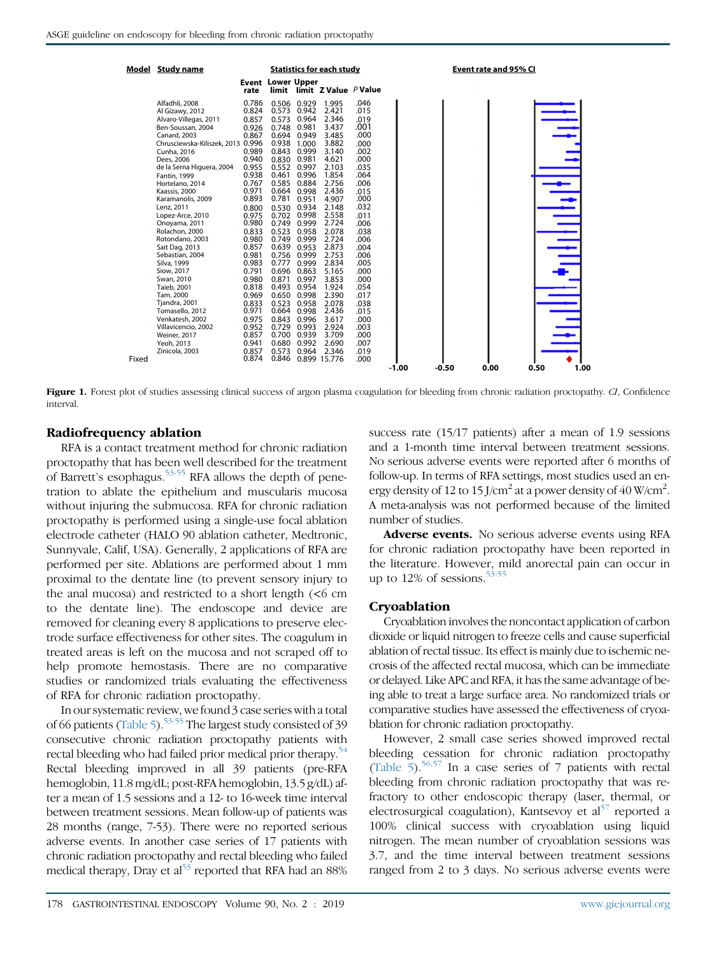<span id="page-7-0"></span>

Figure 1. Forest plot of studies assessing clinical success of argon plasma coagulation for bleeding from chronic radiation proctopathy. CI, Confidence interval.

#### Radiofrequency ablation

RFA is a contact treatment method for chronic radiation proctopathy that has been well described for the treatment of Barrett's esophagus.<sup>[53-55](#page-11-0)</sup> RFA allows the depth of penetration to ablate the epithelium and muscularis mucosa without injuring the submucosa. RFA for chronic radiation proctopathy is performed using a single-use focal ablation electrode catheter (HALO 90 ablation catheter, Medtronic, Sunnyvale, Calif, USA). Generally, 2 applications of RFA are performed per site. Ablations are performed about 1 mm proximal to the dentate line (to prevent sensory injury to the anal mucosa) and restricted to a short length  $(< 6$  cm to the dentate line). The endoscope and device are removed for cleaning every 8 applications to preserve electrode surface effectiveness for other sites. The coagulum in treated areas is left on the mucosa and not scraped off to help promote hemostasis. There are no comparative studies or randomized trials evaluating the effectiveness of RFA for chronic radiation proctopathy.

In our systematic review, we found 3 case series with a total of 66 patients [\(Table 5\)](#page-8-0).  $53-55$  The largest study consisted of 39 consecutive chronic radiation proctopathy patients with rectal bleeding who had failed prior medical prior therapy. $54$ Rectal bleeding improved in all 39 patients (pre-RFA hemoglobin, 11.8 mg/dL; post-RFA hemoglobin, 13.5 g/dL) after a mean of 1.5 sessions and a 12- to 16-week time interval between treatment sessions. Mean follow-up of patients was 28 months (range, 7-53). There were no reported serious adverse events. In another case series of 17 patients with chronic radiation proctopathy and rectal bleeding who failed medical therapy, Dray et  $al^{53}$  reported that RFA had an 88% success rate (15/17 patients) after a mean of 1.9 sessions and a 1-month time interval between treatment sessions. No serious adverse events were reported after 6 months of follow-up. In terms of RFA settings, most studies used an energy density of 12 to 15 J/cm<sup>2</sup> at a power density of 40 W/cm<sup>2</sup>. A meta-analysis was not performed because of the limited number of studies.

Adverse events. No serious adverse events using RFA for chronic radiation proctopathy have been reported in the literature. However, mild anorectal pain can occur in up to 12% of sessions. $53-55$ 

#### Cryoablation

Cryoablation involves the noncontact application of carbon dioxide or liquid nitrogen to freeze cells and cause superficial ablation of rectal tissue. Its effect is mainly due to ischemic necrosis of the affected rectal mucosa, which can be immediate or delayed. Like APC and RFA, it has the same advantage of being able to treat a large surface area. No randomized trials or comparative studies have assessed the effectiveness of cryoablation for chronic radiation proctopathy.

However, 2 small case series showed improved rectal bleeding cessation for chronic radiation proctopathy [\(Table 5](#page-8-0)).<sup>[56,57](#page-11-0)</sup> In a case series of 7 patients with rectal bleeding from chronic radiation proctopathy that was refractory to other endoscopic therapy (laser, thermal, or electrosurgical coagulation), Kantsevoy et al<sup>[57](#page-11-0)</sup> reported a 100% clinical success with cryoablation using liquid nitrogen. The mean number of cryoablation sessions was 3.7, and the time interval between treatment sessions ranged from 2 to 3 days. No serious adverse events were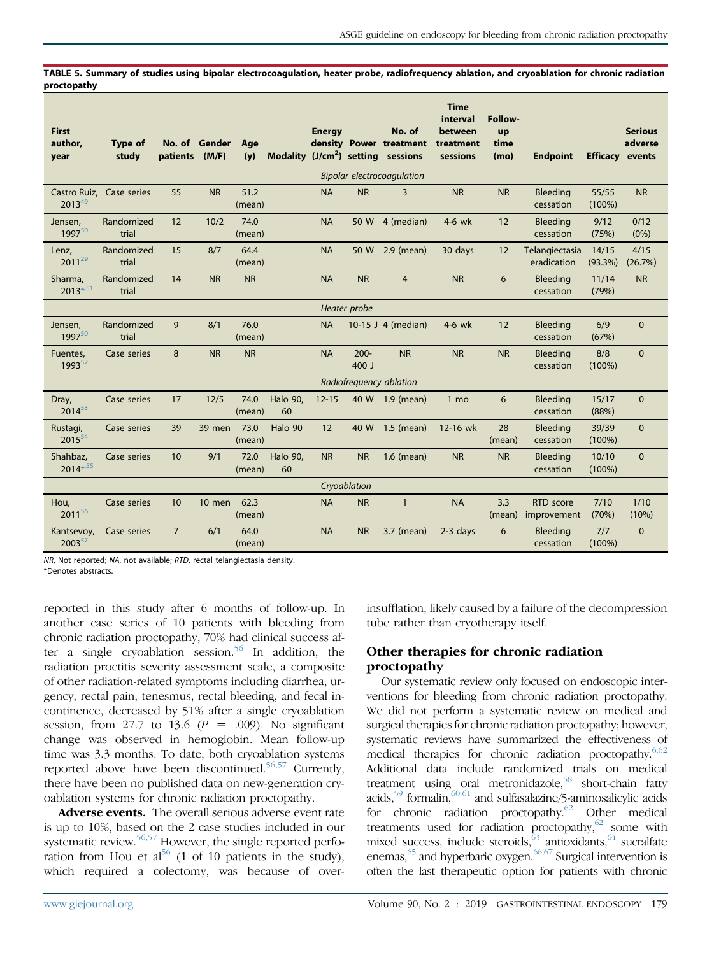<span id="page-8-0"></span>

|             |  | TABLE 5. Summary of studies using bipolar electrocoagulation, heater probe, radiofrequency ablation, and cryoablation for chronic radiation |  |  |  |  |
|-------------|--|---------------------------------------------------------------------------------------------------------------------------------------------|--|--|--|--|
| proctopathy |  |                                                                                                                                             |  |  |  |  |

| <b>First</b><br>author,<br>year | Type of<br>study    | No. of<br>patients | Gender<br>(M/F) | Age<br>(y)     |                       | <b>Energy</b> |                  | No. of<br>density Power treatment<br>Modality $(J/cm2)$ setting sessions | <b>Time</b><br>interval<br>between<br>treatment<br>sessions | Follow-<br>up<br>time<br>(mo) | <b>Endpoint</b>               | <b>Efficacy events</b> | <b>Serious</b><br>adverse |
|---------------------------------|---------------------|--------------------|-----------------|----------------|-----------------------|---------------|------------------|--------------------------------------------------------------------------|-------------------------------------------------------------|-------------------------------|-------------------------------|------------------------|---------------------------|
|                                 |                     |                    |                 | 51.2           |                       | <b>NA</b>     |                  | <b>Bipolar electrocoagulation</b>                                        |                                                             |                               |                               |                        | <b>NR</b>                 |
| Castro Ruiz.<br>201349          | Case series         | 55                 | <b>NR</b>       | (mean)         |                       |               | <b>NR</b>        | 3                                                                        | <b>NR</b>                                                   | <b>NR</b>                     | Bleeding<br>cessation         | 55/55<br>$(100\%)$     |                           |
| Jensen,<br>199750               | Randomized<br>trial | 12                 | 10/2            | 74.0<br>(mean) |                       | <b>NA</b>     |                  | 50 W 4 (median)                                                          | $4-6$ wk                                                    | 12                            | Bleeding<br>cessation         | 9/12<br>(75%)          | 0/12<br>$(0\%)$           |
| Lenz.<br>2011 <sup>29</sup>     | Randomized<br>trial | 15                 | 8/7             | 64.4<br>(mean) |                       | <b>NA</b>     |                  | 50 W 2.9 (mean)                                                          | 30 days                                                     | 12                            | Telangiectasia<br>eradication | 14/15<br>$(93.3\%)$    | 4/15<br>(26.7%)           |
| Sharma,<br>$2013^{*.51}$        | Randomized<br>trial | 14                 | <b>NR</b>       | <b>NR</b>      |                       | <b>NA</b>     | <b>NR</b>        | $\overline{4}$                                                           | <b>NR</b>                                                   | 6                             | Bleeding<br>cessation         | 11/14<br>(79%)         | <b>NR</b>                 |
|                                 |                     |                    |                 |                |                       |               | Heater probe     |                                                                          |                                                             |                               |                               |                        |                           |
| Jensen,<br>1997 <sup>50</sup>   | Randomized<br>trial | 9                  | 8/1             | 76.0<br>(mean) |                       | <b>NA</b>     |                  | 10-15 J 4 (median)                                                       | 4-6 wk                                                      | 12                            | Bleeding<br>cessation         | 6/9<br>(67%)           | $\mathbf 0$               |
| Fuentes,<br>$1993^{52}$         | Case series         | 8                  | <b>NR</b>       | <b>NR</b>      |                       | <b>NA</b>     | $200 -$<br>400 J | <b>NR</b>                                                                | <b>NR</b>                                                   | <b>NR</b>                     | Bleeding<br>cessation         | 8/8<br>$(100\%)$       | $\mathbf 0$               |
|                                 |                     |                    |                 |                |                       |               |                  | Radiofrequency ablation                                                  |                                                             |                               |                               |                        |                           |
| Dray,<br>$2014^{53}$            | Case series         | 17                 | 12/5            | 74.0<br>(mean) | <b>Halo 90,</b><br>60 | $12 - 15$     |                  | 40 W 1.9 (mean)                                                          | 1 <sub>mo</sub>                                             | 6                             | Bleeding<br>cessation         | 15/17<br>(88%)         | $\mathbf 0$               |
| Rustagi,<br>$2015^{54}$         | Case series         | 39                 | 39 men          | 73.0<br>(mean) | Halo 90               | 12            | 40 W             | $1.5$ (mean)                                                             | 12-16 wk                                                    | 28<br>(mean)                  | Bleeding<br>cessation         | 39/39<br>$(100\%)$     | $\Omega$                  |
| Shahbaz,<br>2014*'55            | Case series         | 10                 | 9/1             | 72.0<br>(mean) | <b>Halo 90,</b><br>60 | <b>NR</b>     | <b>NR</b>        | $1.6$ (mean)                                                             | <b>NR</b>                                                   | <b>NR</b>                     | Bleeding<br>cessation         | 10/10<br>$(100\%)$     | $\mathbf{0}$              |
|                                 |                     |                    |                 |                |                       |               | Cryoablation     |                                                                          |                                                             |                               |                               |                        |                           |
| Hou,<br>201156                  | Case series         | 10                 | $10$ men        | 62.3<br>(mean) |                       | <b>NA</b>     | <b>NR</b>        | $\mathbf{1}$                                                             | <b>NA</b>                                                   | 3.3<br>(mean)                 | RTD score<br>improvement      | 7/10<br>(70%)          | 1/10<br>(10%)             |
| Kantsevoy,<br>$2003^{57}$       | Case series         | $\overline{7}$     | 6/1             | 64.0<br>(mean) |                       | <b>NA</b>     | <b>NR</b>        | 3.7 (mean)                                                               | $2-3$ days                                                  | 6                             | Bleeding<br>cessation         | 7/7<br>$(100\%)$       | $\mathbf{0}$              |

NR, Not reported; NA, not available; RTD, rectal telangiectasia density. \*Denotes abstracts.

reported in this study after 6 months of follow-up. In another case series of 10 patients with bleeding from chronic radiation proctopathy, 70% had clinical success af-ter a single cryoablation session.<sup>[56](#page-11-0)</sup> In addition, the radiation proctitis severity assessment scale, a composite of other radiation-related symptoms including diarrhea, urgency, rectal pain, tenesmus, rectal bleeding, and fecal incontinence, decreased by 51% after a single cryoablation session, from 27.7 to 13.6 ( $P = .009$ ). No significant change was observed in hemoglobin. Mean follow-up time was 3.3 months. To date, both cryoablation systems reported above have been discontinued.<sup>[56,57](#page-11-0)</sup> Currently, there have been no published data on new-generation cryoablation systems for chronic radiation proctopathy.

Adverse events. The overall serious adverse event rate is up to 10%, based on the 2 case studies included in our systematic review.<sup>[56,57](#page-11-0)</sup> However, the single reported perfo-ration from Hou et al<sup>[56](#page-11-0)</sup> (1 of 10 patients in the study), which required a colectomy, was because of overinsufflation, likely caused by a failure of the decompression tube rather than cryotherapy itself.

# Other therapies for chronic radiation proctopathy

Our systematic review only focused on endoscopic interventions for bleeding from chronic radiation proctopathy. We did not perform a systematic review on medical and surgical therapies for chronic radiation proctopathy; however, systematic reviews have summarized the effectiveness of medical therapies for chronic radiation proctopathy. $6,62$ Additional data include randomized trials on medical treatment using oral metronidazole,<sup>58</sup> short-chain fatty acids,<sup>59</sup> formalin, $60,61$  and sulfasalazine/5-aminosalicylic acids for chronic radiation proctopathy. $62$  Other medical treatments used for radiation proctopathy, $62$  some with mixed success, include steroids, $63$  antioxidants,  $64$  sucralfate enemas,  $65$  and hyperbaric oxygen.  $66,67$  Surgical intervention is often the last therapeutic option for patients with chronic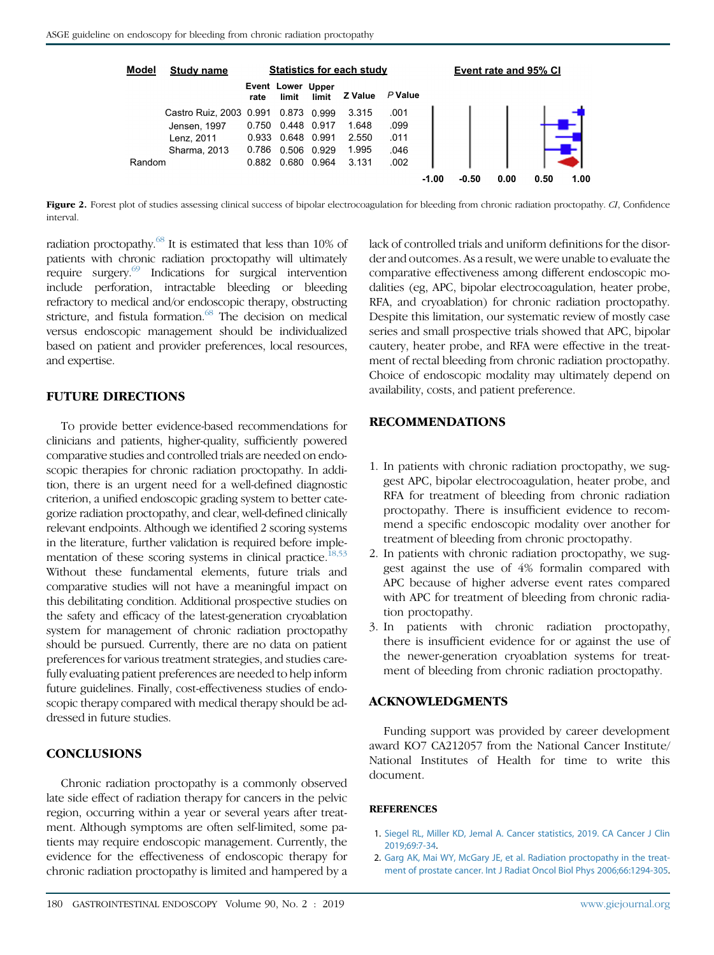<span id="page-9-0"></span>

Figure 2. Forest plot of studies assessing clinical success of bipolar electrocoagulation for bleeding from chronic radiation proctopathy. CI, Confidence interval.

radiation proctopathy.<sup>[68](#page-11-0)</sup> It is estimated that less than 10% of patients with chronic radiation proctopathy will ultimately require surgery.[69](#page-11-0) Indications for surgical intervention include perforation, intractable bleeding or bleeding refractory to medical and/or endoscopic therapy, obstructing stricture, and fistula formation.<sup>[68](#page-11-0)</sup> The decision on medical versus endoscopic management should be individualized based on patient and provider preferences, local resources, and expertise.

#### FUTURE DIRECTIONS

To provide better evidence-based recommendations for clinicians and patients, higher-quality, sufficiently powered comparative studies and controlled trials are needed on endoscopic therapies for chronic radiation proctopathy. In addition, there is an urgent need for a well-defined diagnostic criterion, a unified endoscopic grading system to better categorize radiation proctopathy, and clear, well-defined clinically relevant endpoints. Although we identified 2 scoring systems in the literature, further validation is required before implementation of these scoring systems in clinical practice.<sup>18,53</sup> Without these fundamental elements, future trials and comparative studies will not have a meaningful impact on this debilitating condition. Additional prospective studies on the safety and efficacy of the latest-generation cryoablation system for management of chronic radiation proctopathy should be pursued. Currently, there are no data on patient preferences for various treatment strategies, and studies carefully evaluating patient preferences are needed to help inform future guidelines. Finally, cost-effectiveness studies of endoscopic therapy compared with medical therapy should be addressed in future studies.

#### **CONCLUSIONS**

Chronic radiation proctopathy is a commonly observed late side effect of radiation therapy for cancers in the pelvic region, occurring within a year or several years after treatment. Although symptoms are often self-limited, some patients may require endoscopic management. Currently, the evidence for the effectiveness of endoscopic therapy for chronic radiation proctopathy is limited and hampered by a lack of controlled trials and uniform definitions for the disorder and outcomes. As a result, we were unable to evaluate the comparative effectiveness among different endoscopic modalities (eg, APC, bipolar electrocoagulation, heater probe, RFA, and cryoablation) for chronic radiation proctopathy. Despite this limitation, our systematic review of mostly case series and small prospective trials showed that APC, bipolar cautery, heater probe, and RFA were effective in the treatment of rectal bleeding from chronic radiation proctopathy. Choice of endoscopic modality may ultimately depend on availability, costs, and patient preference.

# RECOMMENDATIONS

- 1. In patients with chronic radiation proctopathy, we suggest APC, bipolar electrocoagulation, heater probe, and RFA for treatment of bleeding from chronic radiation proctopathy. There is insufficient evidence to recommend a specific endoscopic modality over another for treatment of bleeding from chronic proctopathy.
- 2. In patients with chronic radiation proctopathy, we suggest against the use of 4% formalin compared with APC because of higher adverse event rates compared with APC for treatment of bleeding from chronic radiation proctopathy.
- 3. In patients with chronic radiation proctopathy, there is insufficient evidence for or against the use of the newer-generation cryoablation systems for treatment of bleeding from chronic radiation proctopathy.

#### ACKNOWLEDGMENTS

Funding support was provided by career development award KO7 CA212057 from the National Cancer Institute/ National Institutes of Health for time to write this document.

#### **REFERENCES**

- 1. [Siegel RL, Miller KD, Jemal A. Cancer statistics, 2019. CA Cancer J Clin](http://refhub.elsevier.com/S0016-5107(19)31661-X/sref1) [2019;69:7-34](http://refhub.elsevier.com/S0016-5107(19)31661-X/sref1).
- 2. [Garg AK, Mai WY, McGary JE, et al. Radiation proctopathy in the treat](http://refhub.elsevier.com/S0016-5107(19)31661-X/sref2)[ment of prostate cancer. Int J Radiat Oncol Biol Phys 2006;66:1294-305.](http://refhub.elsevier.com/S0016-5107(19)31661-X/sref2)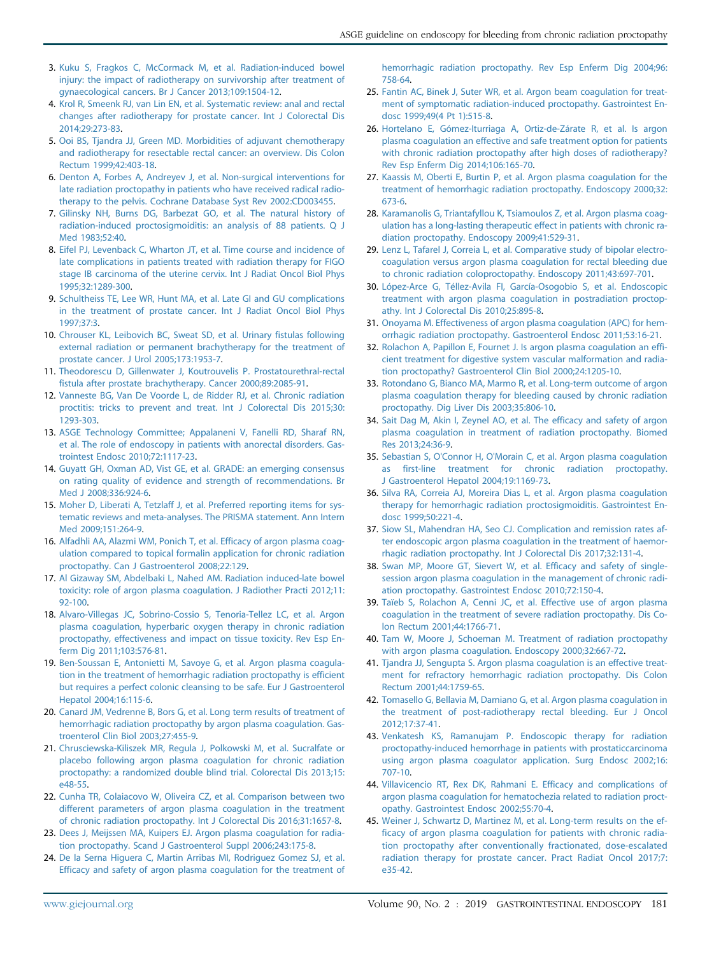- <span id="page-10-0"></span>3. [Kuku S, Fragkos C, McCormack M, et al. Radiation-induced bowel](http://refhub.elsevier.com/S0016-5107(19)31661-X/sref3) [injury: the impact of radiotherapy on survivorship after treatment of](http://refhub.elsevier.com/S0016-5107(19)31661-X/sref3) [gynaecological cancers. Br J Cancer 2013;109:1504-12.](http://refhub.elsevier.com/S0016-5107(19)31661-X/sref3)
- 4. [Krol R, Smeenk RJ, van Lin EN, et al. Systematic review: anal and rectal](http://refhub.elsevier.com/S0016-5107(19)31661-X/sref4) [changes after radiotherapy for prostate cancer. Int J Colorectal Dis](http://refhub.elsevier.com/S0016-5107(19)31661-X/sref4) [2014;29:273-83.](http://refhub.elsevier.com/S0016-5107(19)31661-X/sref4)
- 5. [Ooi BS, Tjandra JJ, Green MD. Morbidities of adjuvant chemotherapy](http://refhub.elsevier.com/S0016-5107(19)31661-X/sref5) [and radiotherapy for resectable rectal cancer: an overview. Dis Colon](http://refhub.elsevier.com/S0016-5107(19)31661-X/sref5) [Rectum 1999;42:403-18.](http://refhub.elsevier.com/S0016-5107(19)31661-X/sref5)
- 6. [Denton A, Forbes A, Andreyev J, et al. Non-surgical interventions for](http://refhub.elsevier.com/S0016-5107(19)31661-X/sref6) [late radiation proctopathy in patients who have received radical radio](http://refhub.elsevier.com/S0016-5107(19)31661-X/sref6)[therapy to the pelvis. Cochrane Database Syst Rev 2002:CD003455](http://refhub.elsevier.com/S0016-5107(19)31661-X/sref6).
- 7. [Gilinsky NH, Burns DG, Barbezat GO, et al. The natural history of](http://refhub.elsevier.com/S0016-5107(19)31661-X/sref7) [radiation-induced proctosigmoiditis: an analysis of 88 patients. Q J](http://refhub.elsevier.com/S0016-5107(19)31661-X/sref7) [Med 1983;52:40.](http://refhub.elsevier.com/S0016-5107(19)31661-X/sref7)
- 8. [Eifel PJ, Levenback C, Wharton JT, et al. Time course and incidence of](http://refhub.elsevier.com/S0016-5107(19)31661-X/sref8) [late complications in patients treated with radiation therapy for FIGO](http://refhub.elsevier.com/S0016-5107(19)31661-X/sref8) [stage IB carcinoma of the uterine cervix. Int J Radiat Oncol Biol Phys](http://refhub.elsevier.com/S0016-5107(19)31661-X/sref8) [1995;32:1289-300.](http://refhub.elsevier.com/S0016-5107(19)31661-X/sref8)
- 9. [Schultheiss TE, Lee WR, Hunt MA, et al. Late GI and GU complications](http://refhub.elsevier.com/S0016-5107(19)31661-X/sref9) [in the treatment of prostate cancer. Int J Radiat Oncol Biol Phys](http://refhub.elsevier.com/S0016-5107(19)31661-X/sref9) [1997;37:3](http://refhub.elsevier.com/S0016-5107(19)31661-X/sref9).
- 10. [Chrouser KL, Leibovich BC, Sweat SD, et al. Urinary fistulas following](http://refhub.elsevier.com/S0016-5107(19)31661-X/sref10) [external radiation or permanent brachytherapy for the treatment of](http://refhub.elsevier.com/S0016-5107(19)31661-X/sref10) [prostate cancer. J Urol 2005;173:1953-7.](http://refhub.elsevier.com/S0016-5107(19)31661-X/sref10)
- 11. [Theodorescu D, Gillenwater J, Koutrouvelis P. Prostatourethral-rectal](http://refhub.elsevier.com/S0016-5107(19)31661-X/sref11) [fistula after prostate brachytherapy. Cancer 2000;89:2085-91.](http://refhub.elsevier.com/S0016-5107(19)31661-X/sref11)
- 12. [Vanneste BG, Van De Voorde L, de Ridder RJ, et al. Chronic radiation](http://refhub.elsevier.com/S0016-5107(19)31661-X/sref12) [proctitis: tricks to prevent and treat. Int J Colorectal Dis 2015;30:](http://refhub.elsevier.com/S0016-5107(19)31661-X/sref12) [1293-303](http://refhub.elsevier.com/S0016-5107(19)31661-X/sref12).
- 13. [ASGE Technology Committee; Appalaneni V, Fanelli RD, Sharaf RN,](http://refhub.elsevier.com/S0016-5107(19)31661-X/sref13) [et al. The role of endoscopy in patients with anorectal disorders. Gas](http://refhub.elsevier.com/S0016-5107(19)31661-X/sref13)[trointest Endosc 2010;72:1117-23.](http://refhub.elsevier.com/S0016-5107(19)31661-X/sref13)
- 14. [Guyatt GH, Oxman AD, Vist GE, et al. GRADE: an emerging consensus](http://refhub.elsevier.com/S0016-5107(19)31661-X/sref14) [on rating quality of evidence and strength of recommendations. Br](http://refhub.elsevier.com/S0016-5107(19)31661-X/sref14) [Med J 2008;336:924-6.](http://refhub.elsevier.com/S0016-5107(19)31661-X/sref14)
- 15. [Moher D, Liberati A, Tetzlaff J, et al. Preferred reporting items for sys](http://refhub.elsevier.com/S0016-5107(19)31661-X/sref15)[tematic reviews and meta-analyses. The PRISMA statement. Ann Intern](http://refhub.elsevier.com/S0016-5107(19)31661-X/sref15) [Med 2009;151:264-9](http://refhub.elsevier.com/S0016-5107(19)31661-X/sref15).
- 16. [Alfadhli AA, Alazmi WM, Ponich T, et al. Efficacy of argon plasma coag](http://refhub.elsevier.com/S0016-5107(19)31661-X/sref16)[ulation compared to topical formalin application for chronic radiation](http://refhub.elsevier.com/S0016-5107(19)31661-X/sref16) [proctopathy. Can J Gastroenterol 2008;22:129.](http://refhub.elsevier.com/S0016-5107(19)31661-X/sref16)
- 17. [Al Gizaway SM, Abdelbaki L, Nahed AM. Radiation induced-late bowel](http://refhub.elsevier.com/S0016-5107(19)31661-X/sref17) [toxicity: role of argon plasma coagulation. J Radiother Practi 2012;11:](http://refhub.elsevier.com/S0016-5107(19)31661-X/sref17) [92-100](http://refhub.elsevier.com/S0016-5107(19)31661-X/sref17).
- 18. [Alvaro-Villegas JC, Sobrino-Cossio S, Tenoria-Tellez LC, et al. Argon](http://refhub.elsevier.com/S0016-5107(19)31661-X/sref18) [plasma coagulation, hyperbaric oxygen therapy in chronic radiation](http://refhub.elsevier.com/S0016-5107(19)31661-X/sref18) [proctopathy, effectiveness and impact on tissue toxicity. Rev Esp En](http://refhub.elsevier.com/S0016-5107(19)31661-X/sref18)[ferm Dig 2011;103:576-81.](http://refhub.elsevier.com/S0016-5107(19)31661-X/sref18)
- 19. [Ben-Soussan E, Antonietti M, Savoye G, et al. Argon plasma coagula](http://refhub.elsevier.com/S0016-5107(19)31661-X/sref19)[tion in the treatment of hemorrhagic radiation proctopathy is efficient](http://refhub.elsevier.com/S0016-5107(19)31661-X/sref19) [but requires a perfect colonic cleansing to be safe. Eur J Gastroenterol](http://refhub.elsevier.com/S0016-5107(19)31661-X/sref19) [Hepatol 2004;16:115-6](http://refhub.elsevier.com/S0016-5107(19)31661-X/sref19).
- 20. [Canard JM, Vedrenne B, Bors G, et al. Long term results of treatment of](http://refhub.elsevier.com/S0016-5107(19)31661-X/sref20) [hemorrhagic radiation proctopathy by argon plasma coagulation. Gas](http://refhub.elsevier.com/S0016-5107(19)31661-X/sref20)[troenterol Clin Biol 2003;27:455-9](http://refhub.elsevier.com/S0016-5107(19)31661-X/sref20).
- 21. [Chrusciewska-Kiliszek MR, Regula J, Polkowski M, et al. Sucralfate or](http://refhub.elsevier.com/S0016-5107(19)31661-X/sref21) [placebo following argon plasma coagulation for chronic radiation](http://refhub.elsevier.com/S0016-5107(19)31661-X/sref21) [proctopathy: a randomized double blind trial. Colorectal Dis 2013;15:](http://refhub.elsevier.com/S0016-5107(19)31661-X/sref21) [e48-55](http://refhub.elsevier.com/S0016-5107(19)31661-X/sref21).
- 22. [Cunha TR, Colaiacovo W, Oliveira CZ, et al. Comparison between two](http://refhub.elsevier.com/S0016-5107(19)31661-X/sref22) [different parameters of argon plasma coagulation in the treatment](http://refhub.elsevier.com/S0016-5107(19)31661-X/sref22) [of chronic radiation proctopathy. Int J Colorectal Dis 2016;31:1657-8](http://refhub.elsevier.com/S0016-5107(19)31661-X/sref22).
- 23. [Dees J, Meijssen MA, Kuipers EJ. Argon plasma coagulation for radia](http://refhub.elsevier.com/S0016-5107(19)31661-X/sref23)[tion proctopathy. Scand J Gastroenterol Suppl 2006;243:175-8](http://refhub.elsevier.com/S0016-5107(19)31661-X/sref23).
- 24. [De la Serna Higuera C, Martin Arribas MI, Rodriguez Gomez SJ, et al.](http://refhub.elsevier.com/S0016-5107(19)31661-X/sref24) [Efficacy and safety of argon plasma coagulation for the treatment of](http://refhub.elsevier.com/S0016-5107(19)31661-X/sref24)

[hemorrhagic radiation proctopathy. Rev Esp Enferm Dig 2004;96:](http://refhub.elsevier.com/S0016-5107(19)31661-X/sref24) [758-64.](http://refhub.elsevier.com/S0016-5107(19)31661-X/sref24)

- 25. [Fantin AC, Binek J, Suter WR, et al. Argon beam coagulation for treat](http://refhub.elsevier.com/S0016-5107(19)31661-X/sref25)[ment of symptomatic radiation-induced proctopathy. Gastrointest En](http://refhub.elsevier.com/S0016-5107(19)31661-X/sref25)[dosc 1999;49\(4 Pt 1\):515-8.](http://refhub.elsevier.com/S0016-5107(19)31661-X/sref25)
- 26. [Hortelano E, Gómez-Iturriaga A, Ortiz-de-Zárate R, et al. Is argon](http://refhub.elsevier.com/S0016-5107(19)31661-X/sref26) [plasma coagulation an effective and safe treatment option for patients](http://refhub.elsevier.com/S0016-5107(19)31661-X/sref26) [with chronic radiation proctopathy after high doses of radiotherapy?](http://refhub.elsevier.com/S0016-5107(19)31661-X/sref26) [Rev Esp Enferm Dig 2014;106:165-70.](http://refhub.elsevier.com/S0016-5107(19)31661-X/sref26)
- 27. [Kaassis M, Oberti E, Burtin P, et al. Argon plasma coagulation for the](http://refhub.elsevier.com/S0016-5107(19)31661-X/sref27) [treatment of hemorrhagic radiation proctopathy. Endoscopy 2000;32:](http://refhub.elsevier.com/S0016-5107(19)31661-X/sref27) [673-6.](http://refhub.elsevier.com/S0016-5107(19)31661-X/sref27)
- 28. [Karamanolis G, Triantafyllou K, Tsiamoulos Z, et al. Argon plasma coag](http://refhub.elsevier.com/S0016-5107(19)31661-X/sref28)[ulation has a long-lasting therapeutic effect in patients with chronic ra](http://refhub.elsevier.com/S0016-5107(19)31661-X/sref28)[diation proctopathy. Endoscopy 2009;41:529-31.](http://refhub.elsevier.com/S0016-5107(19)31661-X/sref28)
- 29. [Lenz L, Tafarel J, Correia L, et al. Comparative study of bipolar electro](http://refhub.elsevier.com/S0016-5107(19)31661-X/sref29)[coagulation versus argon plasma coagulation for rectal bleeding due](http://refhub.elsevier.com/S0016-5107(19)31661-X/sref29) [to chronic radiation coloproctopathy. Endoscopy 2011;43:697-701](http://refhub.elsevier.com/S0016-5107(19)31661-X/sref29).
- 30. [López-Arce G, Téllez-Avila FI, García-Osogobio S, et al. Endoscopic](http://refhub.elsevier.com/S0016-5107(19)31661-X/sref30) [treatment with argon plasma coagulation in postradiation proctop](http://refhub.elsevier.com/S0016-5107(19)31661-X/sref30)[athy. Int J Colorectal Dis 2010;25:895-8.](http://refhub.elsevier.com/S0016-5107(19)31661-X/sref30)
- 31. [Onoyama M. Effectiveness of argon plasma coagulation \(APC\) for hem](http://refhub.elsevier.com/S0016-5107(19)31661-X/sref31)[orrhagic radiation proctopathy. Gastroenterol Endosc 2011;53:16-21.](http://refhub.elsevier.com/S0016-5107(19)31661-X/sref31)
- 32. [Rolachon A, Papillon E, Fournet J. Is argon plasma coagulation an effi](http://refhub.elsevier.com/S0016-5107(19)31661-X/sref32)[cient treatment for digestive system vascular malformation and radia](http://refhub.elsevier.com/S0016-5107(19)31661-X/sref32)[tion proctopathy? Gastroenterol Clin Biol 2000;24:1205-10](http://refhub.elsevier.com/S0016-5107(19)31661-X/sref32).
- 33. [Rotondano G, Bianco MA, Marmo R, et al. Long-term outcome of argon](http://refhub.elsevier.com/S0016-5107(19)31661-X/sref33) [plasma coagulation therapy for bleeding caused by chronic radiation](http://refhub.elsevier.com/S0016-5107(19)31661-X/sref33) [proctopathy. Dig Liver Dis 2003;35:806-10.](http://refhub.elsevier.com/S0016-5107(19)31661-X/sref33)
- 34. [Sait Dag M, Akin I, Zeynel AO, et al. The efficacy and safety of argon](http://refhub.elsevier.com/S0016-5107(19)31661-X/sref34) [plasma coagulation in treatment of radiation proctopathy. Biomed](http://refhub.elsevier.com/S0016-5107(19)31661-X/sref34) [Res 2013;24:36-9](http://refhub.elsevier.com/S0016-5107(19)31661-X/sref34).
- 35. [Sebastian S, O'Connor H, O'Morain C, et al. Argon plasma coagulation](http://refhub.elsevier.com/S0016-5107(19)31661-X/sref35) [as first-line treatment for chronic radiation proctopathy.](http://refhub.elsevier.com/S0016-5107(19)31661-X/sref35) [J Gastroenterol Hepatol 2004;19:1169-73](http://refhub.elsevier.com/S0016-5107(19)31661-X/sref35).
- 36. [Silva RA, Correia AJ, Moreira Dias L, et al. Argon plasma coagulation](http://refhub.elsevier.com/S0016-5107(19)31661-X/sref36) [therapy for hemorrhagic radiation proctosigmoiditis. Gastrointest En](http://refhub.elsevier.com/S0016-5107(19)31661-X/sref36)[dosc 1999;50:221-4](http://refhub.elsevier.com/S0016-5107(19)31661-X/sref36).
- 37. [Siow SL, Mahendran HA, Seo CJ. Complication and remission rates af](http://refhub.elsevier.com/S0016-5107(19)31661-X/sref37)[ter endoscopic argon plasma coagulation in the treatment of haemor](http://refhub.elsevier.com/S0016-5107(19)31661-X/sref37)[rhagic radiation proctopathy. Int J Colorectal Dis 2017;32:131-4](http://refhub.elsevier.com/S0016-5107(19)31661-X/sref37).
- 38. [Swan MP, Moore GT, Sievert W, et al. Efficacy and safety of single](http://refhub.elsevier.com/S0016-5107(19)31661-X/sref38)[session argon plasma coagulation in the management of chronic radi](http://refhub.elsevier.com/S0016-5107(19)31661-X/sref38)[ation proctopathy. Gastrointest Endosc 2010;72:150-4.](http://refhub.elsevier.com/S0016-5107(19)31661-X/sref38)
- 39. [Taïeb S, Rolachon A, Cenni JC, et al. Effective use of argon plasma](http://refhub.elsevier.com/S0016-5107(19)31661-X/sref39) [coagulation in the treatment of severe radiation proctopathy. Dis Co](http://refhub.elsevier.com/S0016-5107(19)31661-X/sref39)[lon Rectum 2001;44:1766-71](http://refhub.elsevier.com/S0016-5107(19)31661-X/sref39).
- 40. [Tam W, Moore J, Schoeman M. Treatment of radiation proctopathy](http://refhub.elsevier.com/S0016-5107(19)31661-X/sref40) [with argon plasma coagulation. Endoscopy 2000;32:667-72](http://refhub.elsevier.com/S0016-5107(19)31661-X/sref40).
- 41. [Tjandra JJ, Sengupta S. Argon plasma coagulation is an effective treat](http://refhub.elsevier.com/S0016-5107(19)31661-X/sref41)[ment for refractory hemorrhagic radiation proctopathy. Dis Colon](http://refhub.elsevier.com/S0016-5107(19)31661-X/sref41) [Rectum 2001;44:1759-65](http://refhub.elsevier.com/S0016-5107(19)31661-X/sref41).
- 42. [Tomasello G, Bellavia M, Damiano G, et al. Argon plasma coagulation in](http://refhub.elsevier.com/S0016-5107(19)31661-X/sref42) [the treatment of post-radiotherapy rectal bleeding. Eur J Oncol](http://refhub.elsevier.com/S0016-5107(19)31661-X/sref42) [2012;17:37-41](http://refhub.elsevier.com/S0016-5107(19)31661-X/sref42).
- 43. [Venkatesh KS, Ramanujam P. Endoscopic therapy for radiation](http://refhub.elsevier.com/S0016-5107(19)31661-X/sref43) [proctopathy-induced hemorrhage in patients with prostaticcarcinoma](http://refhub.elsevier.com/S0016-5107(19)31661-X/sref43) [using argon plasma coagulator application. Surg Endosc 2002;16:](http://refhub.elsevier.com/S0016-5107(19)31661-X/sref43) [707-10.](http://refhub.elsevier.com/S0016-5107(19)31661-X/sref43)
- 44. [Villavicencio RT, Rex DK, Rahmani E. Efficacy and complications of](http://refhub.elsevier.com/S0016-5107(19)31661-X/sref44) [argon plasma coagulation for hematochezia related to radiation proct](http://refhub.elsevier.com/S0016-5107(19)31661-X/sref44)[opathy. Gastrointest Endosc 2002;55:70-4.](http://refhub.elsevier.com/S0016-5107(19)31661-X/sref44)
- 45. [Weiner J, Schwartz D, Martinez M, et al. Long-term results on the ef](http://refhub.elsevier.com/S0016-5107(19)31661-X/sref45)[ficacy of argon plasma coagulation for patients with chronic radia](http://refhub.elsevier.com/S0016-5107(19)31661-X/sref45)[tion proctopathy after conventionally fractionated, dose-escalated](http://refhub.elsevier.com/S0016-5107(19)31661-X/sref45) [radiation therapy for prostate cancer. Pract Radiat Oncol 2017;7:](http://refhub.elsevier.com/S0016-5107(19)31661-X/sref45) [e35-42](http://refhub.elsevier.com/S0016-5107(19)31661-X/sref45).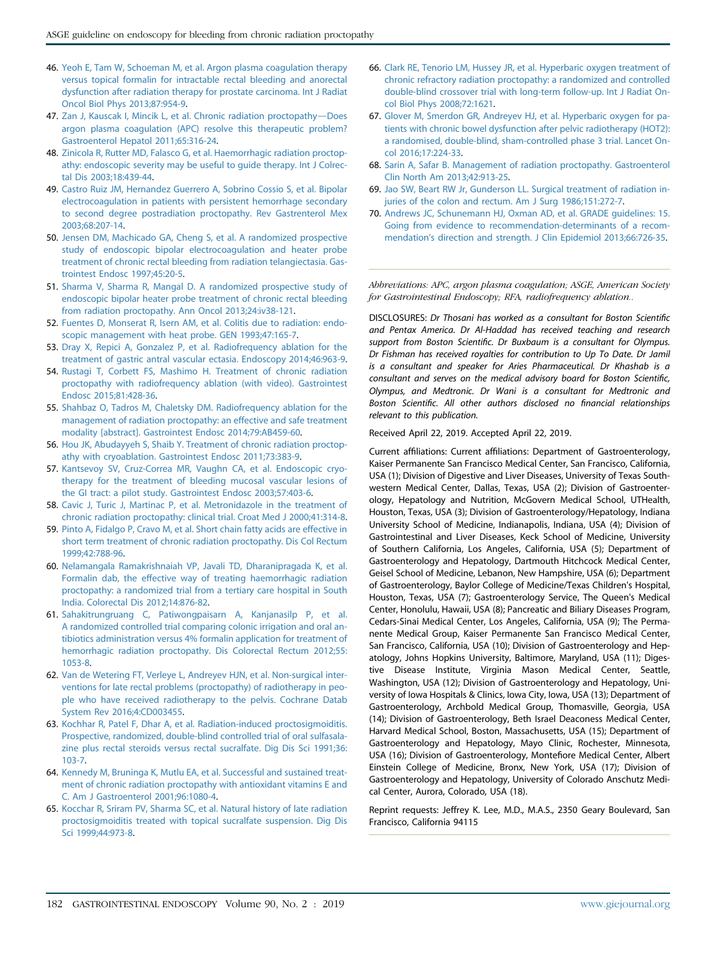- <span id="page-11-0"></span>46. [Yeoh E, Tam W, Schoeman M, et al. Argon plasma coagulation therapy](http://refhub.elsevier.com/S0016-5107(19)31661-X/sref46) [versus topical formalin for intractable rectal bleeding and anorectal](http://refhub.elsevier.com/S0016-5107(19)31661-X/sref46) [dysfunction after radiation therapy for prostate carcinoma. Int J Radiat](http://refhub.elsevier.com/S0016-5107(19)31661-X/sref46) [Oncol Biol Phys 2013;87:954-9](http://refhub.elsevier.com/S0016-5107(19)31661-X/sref46).
- 47. [Zan J, Kauscak I, Mincik L, et al. Chronic radiation proctopathy](http://refhub.elsevier.com/S0016-5107(19)31661-X/sref47)-Does [argon plasma coagulation \(APC\) resolve this therapeutic problem?](http://refhub.elsevier.com/S0016-5107(19)31661-X/sref47) [Gastroenterol Hepatol 2011;65:316-24](http://refhub.elsevier.com/S0016-5107(19)31661-X/sref47).
- 48. [Zinicola R, Rutter MD, Falasco G, et al. Haemorrhagic radiation proctop](http://refhub.elsevier.com/S0016-5107(19)31661-X/sref48)[athy: endoscopic severity may be useful to guide therapy. Int J Colrec](http://refhub.elsevier.com/S0016-5107(19)31661-X/sref48)[tal Dis 2003;18:439-44.](http://refhub.elsevier.com/S0016-5107(19)31661-X/sref48)
- 49. [Castro Ruiz JM, Hernandez Guerrero A, Sobrino Cossio S, et al. Bipolar](http://refhub.elsevier.com/S0016-5107(19)31661-X/sref49) [electrocoagulation in patients with persistent hemorrhage secondary](http://refhub.elsevier.com/S0016-5107(19)31661-X/sref49) [to second degree postradiation proctopathy. Rev Gastrenterol Mex](http://refhub.elsevier.com/S0016-5107(19)31661-X/sref49) [2003;68:207-14.](http://refhub.elsevier.com/S0016-5107(19)31661-X/sref49)
- 50. [Jensen DM, Machicado GA, Cheng S, et al. A randomized prospective](http://refhub.elsevier.com/S0016-5107(19)31661-X/sref50) [study of endoscopic bipolar electrocoagulation and heater probe](http://refhub.elsevier.com/S0016-5107(19)31661-X/sref50) [treatment of chronic rectal bleeding from radiation telangiectasia. Gas](http://refhub.elsevier.com/S0016-5107(19)31661-X/sref50)[trointest Endosc 1997;45:20-5.](http://refhub.elsevier.com/S0016-5107(19)31661-X/sref50)
- 51. [Sharma V, Sharma R, Mangal D. A randomized prospective study of](http://refhub.elsevier.com/S0016-5107(19)31661-X/sref51) [endoscopic bipolar heater probe treatment of chronic rectal bleeding](http://refhub.elsevier.com/S0016-5107(19)31661-X/sref51) [from radiation proctopathy. Ann Oncol 2013;24:iv38-121.](http://refhub.elsevier.com/S0016-5107(19)31661-X/sref51)
- 52. [Fuentes D, Monserat R, Isern AM, et al. Colitis due to radiation: endo](http://refhub.elsevier.com/S0016-5107(19)31661-X/sref52)[scopic management with heat probe. GEN 1993;47:165-7](http://refhub.elsevier.com/S0016-5107(19)31661-X/sref52).
- 53. [Dray X, Repici A, Gonzalez P, et al. Radiofrequency ablation for the](http://refhub.elsevier.com/S0016-5107(19)31661-X/sref53) [treatment of gastric antral vascular ectasia. Endoscopy 2014;46:963-9](http://refhub.elsevier.com/S0016-5107(19)31661-X/sref53).
- 54. [Rustagi T, Corbett FS, Mashimo H. Treatment of chronic radiation](http://refhub.elsevier.com/S0016-5107(19)31661-X/sref54) [proctopathy with radiofrequency ablation \(with video\). Gastrointest](http://refhub.elsevier.com/S0016-5107(19)31661-X/sref54) [Endosc 2015;81:428-36](http://refhub.elsevier.com/S0016-5107(19)31661-X/sref54).
- 55. [Shahbaz O, Tadros M, Chaletsky DM. Radiofrequency ablation for the](http://refhub.elsevier.com/S0016-5107(19)31661-X/sref55) [management of radiation proctopathy: an effective and safe treatment](http://refhub.elsevier.com/S0016-5107(19)31661-X/sref55) [modality \[abstract\]. Gastrointest Endosc 2014;79:AB459-60.](http://refhub.elsevier.com/S0016-5107(19)31661-X/sref55)
- 56. [Hou JK, Abudayyeh S, Shaib Y. Treatment of chronic radiation proctop](http://refhub.elsevier.com/S0016-5107(19)31661-X/sref56)[athy with cryoablation. Gastrointest Endosc 2011;73:383-9.](http://refhub.elsevier.com/S0016-5107(19)31661-X/sref56)
- 57. [Kantsevoy SV, Cruz-Correa MR, Vaughn CA, et al. Endoscopic cryo](http://refhub.elsevier.com/S0016-5107(19)31661-X/sref57)[therapy for the treatment of bleeding mucosal vascular lesions of](http://refhub.elsevier.com/S0016-5107(19)31661-X/sref57) [the GI tract: a pilot study. Gastrointest Endosc 2003;57:403-6.](http://refhub.elsevier.com/S0016-5107(19)31661-X/sref57)
- 58. [Cavic J, Turic J, Martinac P, et al. Metronidazole in the treatment of](http://refhub.elsevier.com/S0016-5107(19)31661-X/sref58) [chronic radiation proctopathy: clinical trial. Croat Med J 2000;41:314-8](http://refhub.elsevier.com/S0016-5107(19)31661-X/sref58).
- 59. [Pinto A, Fidalgo P, Cravo M, et al. Short chain fatty acids are effective in](http://refhub.elsevier.com/S0016-5107(19)31661-X/sref59) [short term treatment of chronic radiation proctopathy. Dis Col Rectum](http://refhub.elsevier.com/S0016-5107(19)31661-X/sref59) [1999;42:788-96.](http://refhub.elsevier.com/S0016-5107(19)31661-X/sref59)
- 60. [Nelamangala Ramakrishnaiah VP, Javali TD, Dharanipragada K, et al.](http://refhub.elsevier.com/S0016-5107(19)31661-X/sref60) [Formalin dab, the effective way of treating haemorrhagic radiation](http://refhub.elsevier.com/S0016-5107(19)31661-X/sref60) [proctopathy: a randomized trial from a tertiary care hospital in South](http://refhub.elsevier.com/S0016-5107(19)31661-X/sref60) [India. Colorectal Dis 2012;14:876-82](http://refhub.elsevier.com/S0016-5107(19)31661-X/sref60).
- 61. [Sahakitrungruang C, Patiwongpaisarn A, Kanjanasilp P, et al.](http://refhub.elsevier.com/S0016-5107(19)31661-X/sref61) [A randomized controlled trial comparing colonic irrigation and oral an](http://refhub.elsevier.com/S0016-5107(19)31661-X/sref61)[tibiotics administration versus 4% formalin application for treatment of](http://refhub.elsevier.com/S0016-5107(19)31661-X/sref61) [hemorrhagic radiation proctopathy. Dis Colorectal Rectum 2012;55:](http://refhub.elsevier.com/S0016-5107(19)31661-X/sref61) [1053-8](http://refhub.elsevier.com/S0016-5107(19)31661-X/sref61).
- 62. [Van de Wetering FT, Verleye L, Andreyev HJN, et al. Non-surgical inter](http://refhub.elsevier.com/S0016-5107(19)31661-X/sref62)[ventions for late rectal problems \(proctopathy\) of radiotherapy in peo](http://refhub.elsevier.com/S0016-5107(19)31661-X/sref62)[ple who have received radiotherapy to the pelvis. Cochrane Datab](http://refhub.elsevier.com/S0016-5107(19)31661-X/sref62) [System Rev 2016;4:CD003455](http://refhub.elsevier.com/S0016-5107(19)31661-X/sref62).
- 63. [Kochhar R, Patel F, Dhar A, et al. Radiation-induced proctosigmoiditis.](http://refhub.elsevier.com/S0016-5107(19)31661-X/sref63) [Prospective, randomized, double-blind controlled trial of oral sulfasala](http://refhub.elsevier.com/S0016-5107(19)31661-X/sref63)[zine plus rectal steroids versus rectal sucralfate. Dig Dis Sci 1991;36:](http://refhub.elsevier.com/S0016-5107(19)31661-X/sref63) [103-7](http://refhub.elsevier.com/S0016-5107(19)31661-X/sref63).
- 64. [Kennedy M, Bruninga K, Mutlu EA, et al. Successful and sustained treat](http://refhub.elsevier.com/S0016-5107(19)31661-X/sref64)[ment of chronic radiation proctopathy with antioxidant vitamins E and](http://refhub.elsevier.com/S0016-5107(19)31661-X/sref64) [C. Am J Gastroenterol 2001;96:1080-4](http://refhub.elsevier.com/S0016-5107(19)31661-X/sref64).
- 65. [Kocchar R, Sriram PV, Sharma SC, et al. Natural history of late radiation](http://refhub.elsevier.com/S0016-5107(19)31661-X/sref65) [proctosigmoiditis treated with topical sucralfate suspension. Dig Dis](http://refhub.elsevier.com/S0016-5107(19)31661-X/sref65) [Sci 1999;44:973-8.](http://refhub.elsevier.com/S0016-5107(19)31661-X/sref65)
- 66. [Clark RE, Tenorio LM, Hussey JR, et al. Hyperbaric oxygen treatment of](http://refhub.elsevier.com/S0016-5107(19)31661-X/sref66) [chronic refractory radiation proctopathy: a randomized and controlled](http://refhub.elsevier.com/S0016-5107(19)31661-X/sref66) [double-blind crossover trial with long-term follow-up. Int J Radiat On](http://refhub.elsevier.com/S0016-5107(19)31661-X/sref66)[col Biol Phys 2008;72:1621](http://refhub.elsevier.com/S0016-5107(19)31661-X/sref66).
- 67. [Glover M, Smerdon GR, Andreyev HJ, et al. Hyperbaric oxygen for pa](http://refhub.elsevier.com/S0016-5107(19)31661-X/sref67)[tients with chronic bowel dysfunction after pelvic radiotherapy \(HOT2\):](http://refhub.elsevier.com/S0016-5107(19)31661-X/sref67) [a randomised, double-blind, sham-controlled phase 3 trial. Lancet On](http://refhub.elsevier.com/S0016-5107(19)31661-X/sref67)[col 2016;17:224-33.](http://refhub.elsevier.com/S0016-5107(19)31661-X/sref67)
- 68. [Sarin A, Safar B. Management of radiation proctopathy. Gastroenterol](http://refhub.elsevier.com/S0016-5107(19)31661-X/sref68) [Clin North Am 2013;42:913-25](http://refhub.elsevier.com/S0016-5107(19)31661-X/sref68).
- 69. [Jao SW, Beart RW Jr, Gunderson LL. Surgical treatment of radiation in](http://refhub.elsevier.com/S0016-5107(19)31661-X/sref69)[juries of the colon and rectum. Am J Surg 1986;151:272-7](http://refhub.elsevier.com/S0016-5107(19)31661-X/sref69).
- 70. [Andrews JC, Schunemann HJ, Oxman AD, et al. GRADE guidelines: 15.](http://refhub.elsevier.com/S0016-5107(19)31661-X/sref70) [Going from evidence to recommendation-determinants of a recom](http://refhub.elsevier.com/S0016-5107(19)31661-X/sref70)mendation'[s direction and strength. J Clin Epidemiol 2013;66:726-35](http://refhub.elsevier.com/S0016-5107(19)31661-X/sref70).

Abbreviations: APC, argon plasma coagulation; ASGE, American Society for Gastrointestinal Endoscopy; RFA, radiofrequency ablation..

DISCLOSURES: Dr Thosani has worked as a consultant for Boston Scientific and Pentax America. Dr Al-Haddad has received teaching and research support from Boston Scientific. Dr Buxbaum is a consultant for Olympus. Dr Fishman has received royalties for contribution to Up To Date. Dr Jamil is a consultant and speaker for Aries Pharmaceutical. Dr Khashab is a consultant and serves on the medical advisory board for Boston Scientific, Olympus, and Medtronic. Dr Wani is a consultant for Medtronic and Boston Scientific. All other authors disclosed no financial relationships relevant to this publication.

#### Received April 22, 2019. Accepted April 22, 2019.

Current affiliations: Current affiliations: Department of Gastroenterology, Kaiser Permanente San Francisco Medical Center, San Francisco, California, USA (1); Division of Digestive and Liver Diseases, University of Texas Southwestern Medical Center, Dallas, Texas, USA (2); Division of Gastroenterology, Hepatology and Nutrition, McGovern Medical School, UTHealth, Houston, Texas, USA (3); Division of Gastroenterology/Hepatology, Indiana University School of Medicine, Indianapolis, Indiana, USA (4); Division of Gastrointestinal and Liver Diseases, Keck School of Medicine, University of Southern California, Los Angeles, California, USA (5); Department of Gastroenterology and Hepatology, Dartmouth Hitchcock Medical Center, Geisel School of Medicine, Lebanon, New Hampshire, USA (6); Department of Gastroenterology, Baylor College of Medicine/Texas Children's Hospital, Houston, Texas, USA (7); Gastroenterology Service, The Queen's Medical Center, Honolulu, Hawaii, USA (8); Pancreatic and Biliary Diseases Program, Cedars-Sinai Medical Center, Los Angeles, California, USA (9); The Permanente Medical Group, Kaiser Permanente San Francisco Medical Center, San Francisco, California, USA (10); Division of Gastroenterology and Hepatology, Johns Hopkins University, Baltimore, Maryland, USA (11); Digestive Disease Institute, Virginia Mason Medical Center, Seattle, Washington, USA (12); Division of Gastroenterology and Hepatology, University of Iowa Hospitals & Clinics, Iowa City, Iowa, USA (13); Department of Gastroenterology, Archbold Medical Group, Thomasville, Georgia, USA (14); Division of Gastroenterology, Beth Israel Deaconess Medical Center, Harvard Medical School, Boston, Massachusetts, USA (15); Department of Gastroenterology and Hepatology, Mayo Clinic, Rochester, Minnesota, USA (16); Division of Gastroenterology, Montefiore Medical Center, Albert Einstein College of Medicine, Bronx, New York, USA (17); Division of Gastroenterology and Hepatology, University of Colorado Anschutz Medical Center, Aurora, Colorado, USA (18).

Reprint requests: Jeffrey K. Lee, M.D., M.A.S., 2350 Geary Boulevard, San Francisco, California 94115